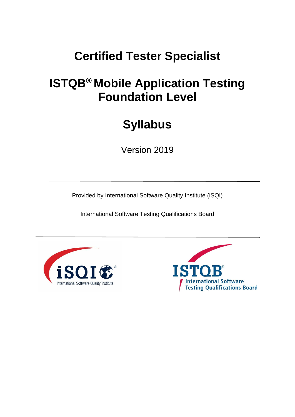# **ISTQB® Mobile Application Testing Foundation Level**

# **Syllabus**

Version 2019

Provided by International Software Quality Institute (iSQI)



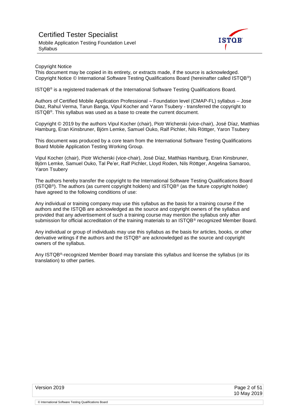

#### Copyright Notice

This document may be copied in its entirety, or extracts made, if the source is acknowledged. Copyright Notice © International Software Testing Qualifications Board (hereinafter called ISTQB®)

ISTQB® is a registered trademark of the International Software Testing Qualifications Board.

Authors of Certified Mobile Application Professional – Foundation level (CMAP-FL) syllabus – Jose Diaz, Rahul Verma, Tarun Banga, Vipul Kocher and Yaron Tsubery - transferred the copyright to ISTQB®. This syllabus was used as a base to create the current document.

Copyright © 2019 by the authors Vipul Kocher (chair), Piotr Wicherski (vice-chair), José Díaz, Matthias Hamburg, Eran Kinsbruner, Björn Lemke, Samuel Ouko, Ralf Pichler, Nils Röttger, Yaron Tsubery

This document was produced by a core team from the International Software Testing Qualifications Board Mobile Application Testing Working Group.

Vipul Kocher (chair), Piotr Wicherski (vice-chair), José Díaz, Matthias Hamburg, Eran Kinsbruner, Björn Lemke, Samuel Ouko, Tal Pe'er, Ralf Pichler, Lloyd Roden, Nils Röttger, Angelina Samaroo, Yaron Tsubery

The authors hereby transfer the copyright to the International Software Testing Qualifications Board (ISTQB®). The authors (as current copyright holders) and ISTQB® (as the future copyright holder) have agreed to the following conditions of use:

Any individual or training company may use this syllabus as the basis for a training course if the authors and the ISTQB are acknowledged as the source and copyright owners of the syllabus and provided that any advertisement of such a training course may mention the syllabus only after submission for official accreditation of the training materials to an ISTQB® recognized Member Board.

Any individual or group of individuals may use this syllabus as the basis for articles, books, or other derivative writings if the authors and the ISTQB® are acknowledged as the source and copyright owners of the syllabus.

Any ISTQB<sup>®</sup>-recognized Member Board may translate this syllabus and license the syllabus (or its translation) to other parties.

<sup>©</sup> International Software Testing Qualifications Board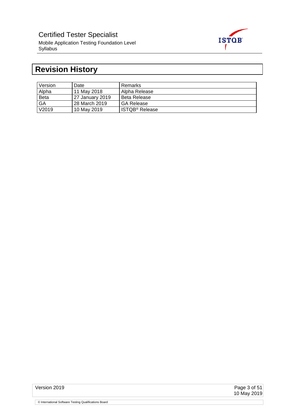

## <span id="page-2-0"></span>**Revision History**

| Version     | Date            | Remarks                    |
|-------------|-----------------|----------------------------|
| Alpha       | 11 May 2018     | Alpha Release              |
| <b>Beta</b> | 27 January 2019 | Beta Release               |
| GA          | 28 March 2019   | <b>GA Release</b>          |
| V2019       | 10 May 2019     | ISTQB <sup>®</sup> Release |

Version 2019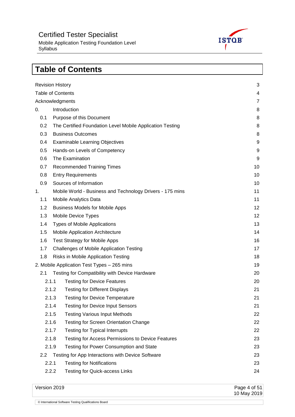Mobile Application Testing Foundation Level Syllabus



## <span id="page-3-0"></span>**Table of Contents** [Revision History](#page-2-0) 3 [Table of Contents](#page-3-0) 4 [Acknowledgments](#page-6-0) **7** 0. [Introduction](#page-7-0) 8 0.1 [Purpose of this Document](#page-7-1) 8 and 8 and 8 and 8 and 8 and 8 and 8 and 8 and 8 and 8 and 8 and 8 and 8 and 8 and 8 and 8 and 8 and 8 and 8 and 8 and 8 and 8 and 8 and 8 and 8 and 8 and 8 and 8 and 8 and 8 and 8 and 8 and 8 0.2 [The Certified Foundation Level Mobile Application Testing](#page-7-2) 8 0.3 [Business Outcomes](#page-7-3) 8 0.4 [Examinable Learning Objectives](#page-8-0) 9 0.5 [Hands-on Levels of Competency](#page-8-1) 9 0.6 [The Examination](#page-8-2) 9 0.7 [Recommended Training Times](#page-9-0) 10 and 10 and 10 and 10 and 10 and 10 and 10 and 10 and 10 and 10 and 10 and 10 0.8 [Entry Requirements](#page-9-1) 10 0.9 [Sources of Information](#page-9-2) 10 1. Mobile World - [Business and Technology Drivers](#page-10-0) - 175 mins 11 1.1 [Mobile Analytics Data](#page-10-1) 11 November 2014 11 November 2014 11 November 2014 11 November 2014 11 November 2014 1.2 [Business Models for Mobile Apps](#page-11-0) 12 1.3 [Mobile Device Types](#page-11-1) 12 1.4 [Types of Mobile Applications](#page-12-0) 13 1.5 [Mobile Application Architecture](#page-13-0) 14 1.6 [Test Strategy for Mobile Apps](#page-15-0) 16 1.7 [Challenges of Mobile Application Testing](#page-16-0) 17 and 17 and 17 and 17 and 17 and 17 and 17 and 17 and 17 and 17 1.8 [Risks in Mobile Application Testing](#page-17-0) 18 November 2012 18 [2. Mobile Application Test Types –](#page-18-0) 265 mins 19 2.1 [Testing for Compatibility with Device Hardware](#page-19-0) 20 20 2.1.1 [Testing for Device Features](#page-19-1) 20 and 20 and 20 and 20 and 20 and 20 and 20 and 20 and 20 and 20 and 20 and 20 and 20 and 20 and 20 and 20 and 20 and 20 and 20 and 20 and 20 and 20 and 20 and 20 and 20 and 20 and 20 and 2.1.2 [Testing for Different Displays](#page-19-2) 21 2.1.3 [Testing for Device Temperature](#page-20-0) 21 Apr 2012 12:1.3 Testing for Device Temperature 2.1.4 [Testing for Device Input Sensors](#page-20-1) 21 2.1.5 [Testing Various Input Methods](#page-21-0) 22 2.1.6 [Testing for Screen Orientation Change](#page-21-1) 22 2.1.7 [Testing for Typical Interrupts](#page-21-2) 22 2.1.8 [Testing for Access Permissions to Device Features](#page-22-0) 23 2.1.9 [Testing for Power Consumption and State](#page-22-1) 23 2.2 [Testing for App Interactions with Device Software](#page-22-2) 23 Apple 23 23 2.2.1 [Testing for Notifications](#page-22-3) 23 2.2.2 [Testing for Quick-access Links](#page-22-4) 24

Version 2019 Page 4 of 51 10 May 2019 © International Software Testing Qualifications Board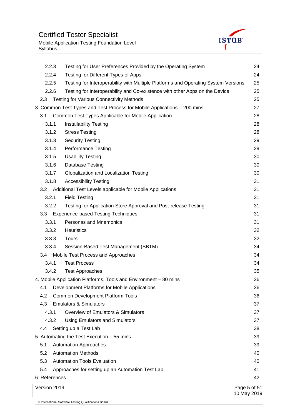

|               | 2.2.3 | Testing for User Preferences Provided by the Operating System                      | 24                          |
|---------------|-------|------------------------------------------------------------------------------------|-----------------------------|
|               | 2.2.4 | Testing for Different Types of Apps                                                | 24                          |
|               | 2.2.5 | Testing for Interoperability with Multiple Platforms and Operating System Versions | 25                          |
|               | 2.2.6 | Testing for Interoperability and Co-existence with other Apps on the Device        | 25                          |
| 2.3           |       | <b>Testing for Various Connectivity Methods</b>                                    | 25                          |
|               |       | 3. Common Test Types and Test Process for Mobile Applications - 200 mins           | 27                          |
| 3.1           |       | Common Test Types Applicable for Mobile Application                                | 28                          |
|               | 3.1.1 | <b>Installability Testing</b>                                                      | 28                          |
|               | 3.1.2 | <b>Stress Testing</b>                                                              | 28                          |
|               | 3.1.3 | <b>Security Testing</b>                                                            | 29                          |
|               | 3.1.4 | <b>Performance Testing</b>                                                         | 29                          |
|               | 3.1.5 | <b>Usability Testing</b>                                                           | 30                          |
|               | 3.1.6 | <b>Database Testing</b>                                                            | 30                          |
|               | 3.1.7 | Globalization and Localization Testing                                             | 30                          |
|               | 3.1.8 | <b>Accessibility Testing</b>                                                       | 31                          |
| 3.2           |       | Additional Test Levels applicable for Mobile Applications                          | 31                          |
| 3.2.1         |       | <b>Field Testing</b>                                                               | 31                          |
|               | 3.2.2 | Testing for Application Store Approval and Post-release Testing                    | 31                          |
| 3.3           |       | <b>Experience-based Testing Techniques</b>                                         | 31                          |
|               | 3.3.1 | Personas and Mnemonics                                                             | 31                          |
|               | 3.3.2 | Heuristics                                                                         | 32                          |
|               | 3.3.3 | Tours                                                                              | 32                          |
|               | 3.3.4 | Session-Based Test Management (SBTM)                                               | 34                          |
| 3.4           |       | Mobile Test Process and Approaches                                                 | 34                          |
| 3.4.1         |       | <b>Test Process</b>                                                                | 34                          |
|               | 3.4.2 | <b>Test Approaches</b>                                                             | 35                          |
|               |       | 4. Mobile Application Platforms, Tools and Environment - 80 mins                   | 36                          |
| 4.1           |       | Development Platforms for Mobile Applications                                      | 36                          |
| 4.2           |       | <b>Common Development Platform Tools</b>                                           | 36                          |
| 4.3           |       | <b>Emulators &amp; Simulators</b>                                                  | 37                          |
| 4.3.1         |       | Overview of Emulators & Simulators                                                 | 37                          |
|               | 4.3.2 | <b>Using Emulators and Simulators</b>                                              | 37                          |
| 4.4           |       | Setting up a Test Lab                                                              | 38                          |
|               |       | 5. Automating the Test Execution - 55 mins                                         | 39                          |
| 5.1           |       | <b>Automation Approaches</b>                                                       | 39                          |
| 5.2           |       | <b>Automation Methods</b>                                                          | 40                          |
| 5.3           |       | <b>Automation Tools Evaluation</b>                                                 | 40                          |
| 5.4           |       | Approaches for setting up an Automation Test Lab                                   | 41                          |
| 6. References |       |                                                                                    | 42                          |
| Version 2019  |       |                                                                                    | Page 5 of 51<br>10 May 2019 |
|               |       | © International Software Testing Qualifications Board                              |                             |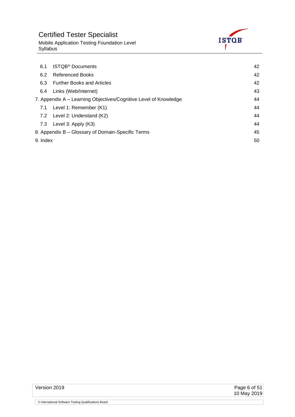

Mobile Application Testing Foundation Level Syllabus

| 6.1      | <b>ISTQB<sup>®</sup></b> Documents                               | 42 |
|----------|------------------------------------------------------------------|----|
| 6.2      | <b>Referenced Books</b>                                          | 42 |
| 6.3      | <b>Further Books and Articles</b>                                | 42 |
| 6.4      | Links (Web/Internet)                                             | 43 |
|          | 7. Appendix A – Learning Objectives/Cognitive Level of Knowledge | 44 |
| 7.1      | Level 1: Remember (K1)                                           | 44 |
|          | 7.2 Level 2: Understand (K2)                                     | 44 |
| 7.3      | Level 3: Apply (K3)                                              | 44 |
|          | 8. Appendix B - Glossary of Domain-Specific Terms                | 45 |
| 9. Index |                                                                  | 50 |

Page 6 of 51<br>10 May 2019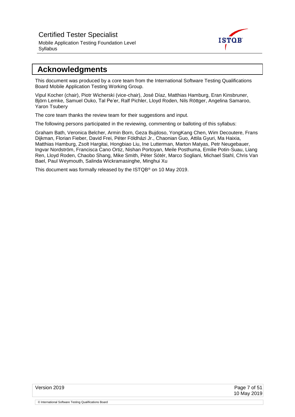Mobile Application Testing Foundation Level Syllabus



## <span id="page-6-0"></span>**Acknowledgments**

This document was produced by a core team from the International Software Testing Qualifications Board Mobile Application Testing Working Group.

Vipul Kocher (chair), Piotr Wicherski (vice-chair), José Díaz, Matthias Hamburg, Eran Kinsbruner, Björn Lemke, Samuel Ouko, Tal Pe'er, Ralf Pichler, Lloyd Roden, Nils Röttger, Angelina Samaroo, Yaron Tsubery

The core team thanks the review team for their suggestions and input.

The following persons participated in the reviewing, commenting or balloting of this syllabus:

Graham Bath, Veronica Belcher, Armin Born, Geza Bujdoso, YongKang Chen, Wim Decoutere, Frans Dijkman, Florian Fieber, David Frei, Péter Földházi Jr., Chaonian Guo, Attila Gyuri, Ma Haixia, Matthias Hamburg, Zsolt Hargitai, Hongbiao Liu, Ine Lutterman, Marton Matyas, Petr Neugebauer, Ingvar Nordström, Francisca Cano Ortiz, Nishan Portoyan, Meile Posthuma, Emilie Potin-Suau, Liang Ren, Lloyd Roden, Chaobo Shang, Mike Smith, Péter Sótér, Marco Sogliani, Michael Stahl, Chris Van Bael, Paul Weymouth, Salinda Wickramasinghe, Minghui Xu

This document was formally released by the ISTQB® on 10 May 2019.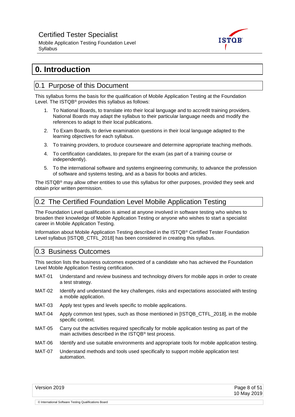Mobile Application Testing Foundation Level Syllabus



## <span id="page-7-0"></span>**0. Introduction**

### <span id="page-7-1"></span>0.1 Purpose of this Document

This syllabus forms the basis for the qualification of Mobile Application Testing at the Foundation Level. The ISTQB® provides this syllabus as follows:

- 1. To National Boards, to translate into their local language and to accredit training providers. National Boards may adapt the syllabus to their particular language needs and modify the references to adapt to their local publications.
- 2. To Exam Boards, to derive examination questions in their local language adapted to the learning objectives for each syllabus.
- 3. To training providers, to produce courseware and determine appropriate teaching methods.
- 4. To certification candidates, to prepare for the exam (as part of a training course or independently).
- 5. To the international software and systems engineering community, to advance the profession of software and systems testing, and as a basis for books and articles.

The ISTQB® may allow other entities to use this syllabus for other purposes, provided they seek and obtain prior written permission.

## <span id="page-7-2"></span>0.2 The Certified Foundation Level Mobile Application Testing

The Foundation Level qualification is aimed at anyone involved in software testing who wishes to broaden their knowledge of Mobile Application Testing or anyone who wishes to start a specialist career in Mobile Application Testing.

Information about Mobile Application Testing described in the ISTQB® Certified Tester Foundation Level syllabus [ISTQB\_CTFL\_2018] has been considered in creating this syllabus.

### <span id="page-7-3"></span>0.3 Business Outcomes

© International Software Testing Qualifications Board

This section lists the business outcomes expected of a candidate who has achieved the Foundation Level Mobile Application Testing certification.

- MAT-01 Understand and review business and technology drivers for mobile apps in order to create a test strategy.
- MAT-02 Identify and understand the key challenges, risks and expectations associated with testing a mobile application.
- MAT-03 Apply test types and levels specific to mobile applications.
- MAT-04 Apply common test types, such as those mentioned in [ISTQB\_CTFL\_2018], in the mobile specific context.
- MAT-05 Carry out the activities required specifically for mobile application testing as part of the main activities described in the ISTQB® test process.
- MAT-06 Identify and use suitable environments and appropriate tools for mobile application testing.
- MAT-07 Understand methods and tools used specifically to support mobile application test automation.

| Version 2019 | Page 8 of 51<br>10 May 2019 |
|--------------|-----------------------------|
|              |                             |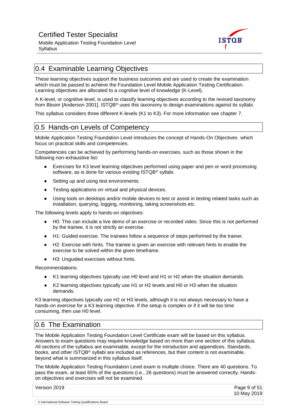

## <span id="page-8-0"></span>0.4 Examinable Learning Objectives

These learning objectives support the business outcomes and are used to create the examination which must be passed to achieve the Foundation Level Mobile Application Testing Certification. Learning objectives are allocated to a cognitive level of knowledge (K-Level).

A K-level, or cognitive level, is used to classify learning objectives according to the revised taxonomy from Bloom [Anderson 2001]. ISTQB® uses this taxonomy to design examinations against its syllabi.

This syllabus considers three different K-levels (K1 to K3). For more information see chapter 7.

## <span id="page-8-1"></span>0.5 Hands-on Levels of Competency

Mobile Application Testing Foundation Level introduces the concept of Hands-On Objectives which focus on practical skills and competencies.

Competencies can be achieved by performing hands-on exercises, such as those shown in the following non-exhaustive list:

- Exercises for K3 level learning objectives performed using paper and pen or word processing software, as is done for various existing ISTQB® syllabi.
- Setting up and using test environments.
- Testing applications on virtual and physical devices.
- Using tools on desktops and/or mobile devices to test or assist in testing related tasks such as installation, querying, logging, monitoring, taking screenshots etc.

The following levels apply to hands-on objectives:

- H0: This can include a live demo of an exercise or recorded video. Since this is not performed by the trainee, it is not strictly an exercise.
- H1: Guided exercise. The trainees follow a sequence of steps performed by the trainer.
- H2: Exercise with hints. The trainee is given an exercise with relevant hints to enable the exercise to be solved within the given timeframe.
- H3: Unguided exercises without hints.

Recommendations:

- K1 learning objectives typically use H0 level and H1 or H2 when the situation demands.
- K2 learning objectives typically use H1 or H2 levels and H0 or H3 when the situation demands.

K3 learning objectives typically use H2 or H3 levels, although it is not always necessary to have a hands-on exercise for a K3 learning objective. If the setup is complex or if it will be too time consuming, then use H0 level.

## <span id="page-8-2"></span>0.6 The Examination

© International Software Testing Qualifications Board

The Mobile Application Testing Foundation Level Certificate exam will be based on this syllabus. Answers to exam questions may require knowledge based on more than one section of this syllabus. All sections of the syllabus are examinable, except for the introduction and appendices. Standards, books, and other ISTQB® syllabi are included as references, but their content is not examinable, beyond what is summarized in this syllabus itself.

The Mobile Application Testing Foundation Level exam is multiple choice. There are 40 questions. To pass the exam, at least 65% of the questions (i.e., 26 questions) must be answered correctly. Handson objectives and exercises will not be examined.

Version 2019 Page 9 of 51 10 May 2019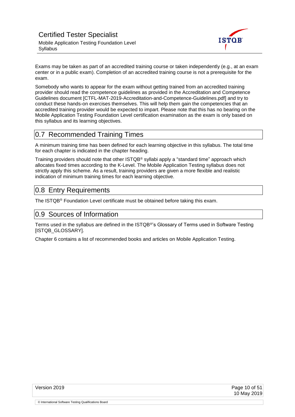

Exams may be taken as part of an accredited training course or taken independently (e.g., at an exam center or in a public exam). Completion of an accredited training course is not a prerequisite for the exam.

Somebody who wants to appear for the exam without getting trained from an accredited training provider should read the competence guidelines as provided in the Accreditation and Competence Guidelines document [CTFL-MAT-2019-Accreditation-and-Competence-Guidelines.pdf] and try to conduct these hands-on exercises themselves. This will help them gain the competencies that an accredited training provider would be expected to impart. Please note that this has no bearing on the Mobile Application Testing Foundation Level certification examination as the exam is only based on this syllabus and its learning objectives.

## <span id="page-9-0"></span>0.7 Recommended Training Times

A minimum training time has been defined for each learning objective in this syllabus. The total time for each chapter is indicated in the chapter heading.

Training providers should note that other ISTQB® syllabi apply a "standard time" approach which allocates fixed times according to the K-Level. The Mobile Application Testing syllabus does not strictly apply this scheme. As a result, training providers are given a more flexible and realistic indication of minimum training times for each learning objective.

## <span id="page-9-1"></span>0.8 Entry Requirements

<span id="page-9-2"></span>The ISTQB® Foundation Level certificate must be obtained before taking this exam.

### 0.9 Sources of Information

Terms used in the syllabus are defined in the ISTQB®'s Glossary of Terms used in Software Testing [ISTQB\_GLOSSARY].

Chapter 6 contains a list of recommended books and articles on Mobile Application Testing.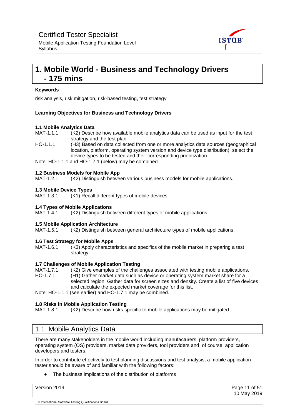

#### Mobile Application Testing Foundation Level **Syllabus**

## <span id="page-10-0"></span>**1. Mobile World - Business and Technology Drivers - 175 mins**

#### **Keywords**

risk analysis, risk mitigation, risk-based testing, test strategy

#### **Learning Objectives for Business and Technology Drivers**

#### **1.1 Mobile Analytics Data**

MAT-1.1.1 (K2) Describe how available mobile analytics data can be used as input for the test strategy and the test plan.

HO-1.1.1 (H3) Based on data collected from one or more analytics data sources (geographical location, platform, operating system version and device type distribution), select the device types to be tested and their corresponding prioritization.

Note: HO-1.1.1 and HO-1.7.1 (below) may be combined.

#### **1.2 Business Models for Mobile App**

MAT-1.2.1 (K2) Distinguish between various business models for mobile applications.

#### **1.3 Mobile Device Types**

MAT-1.3.1 (K1) Recall different types of mobile devices.

#### **1.4 Types of Mobile Applications**

MAT-1.4.1 (K2) Distinguish between different types of mobile applications.

#### **1.5 Mobile Application Architecture**

MAT-1.5.1 (K2) Distinguish between general architecture types of mobile applications.

#### **1.6 Test Strategy for Mobile Apps**

MAT-1.6.1 (K3) Apply characteristics and specifics of the mobile market in preparing a test strategy.

#### **1.7 Challenges of Mobile Application Testing**

MAT-1.7.1 (K2) Give examples of the challenges associated with testing mobile applications.

HO-1.7.1 (H1) Gather market data such as device or operating system market share for a selected region. Gather data for screen sizes and density. Create a list of five devices and calculate the expected market coverage for this list.

Note: HO-1.1.1 (see earlier) and HO-1.7.1 may be combined.

#### **1.8 Risks in Mobile Application Testing**

MAT-1.8.1 (K2) Describe how risks specific to mobile applications may be mitigated.

## <span id="page-10-1"></span>1.1 Mobile Analytics Data

There are many stakeholders in the mobile world including manufacturers, platform providers, operating system (OS) providers, market data providers, tool providers and, of course, application developers and testers.

In order to contribute effectively to test planning discussions and test analysis, a mobile application tester should be aware of and familiar with the following factors:

The business implications of the distribution of platforms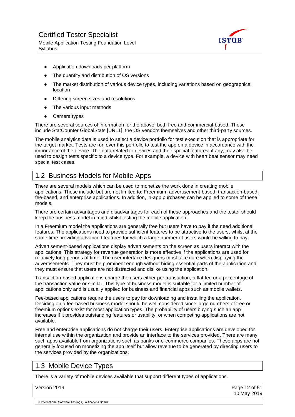Mobile Application Testing Foundation Level **Syllabus** 



- Application downloads per platform
- The quantity and distribution of OS versions
- The market distribution of various device types, including variations based on geographical location
- Differing screen sizes and resolutions
- The various input methods
- Camera types

There are several sources of information for the above, both free and commercial-based. These include StatCounter GlobalStats [URL1], the OS vendors themselves and other third-party sources.

The mobile analytics data is used to select a device portfolio for test execution that is appropriate for the target market. Tests are run over this portfolio to test the app on a device in accordance with the importance of the device. The data related to devices and their special features, if any, may also be used to design tests specific to a device type. For example, a device with heart beat sensor may need special test cases.

## <span id="page-11-0"></span>1.2 Business Models for Mobile Apps

There are several models which can be used to monetize the work done in creating mobile applications. These include but are not limited to: Freemium, advertisement-based, transaction-based, fee-based, and enterprise applications. In addition, in-app purchases can be applied to some of these models.

There are certain advantages and disadvantages for each of these approaches and the tester should keep the business model in mind whilst testing the mobile application.

In a Freemium model the applications are generally free but users have to pay if the need additional features. The applications need to provide sufficient features to be attractive to the users, whilst at the same time providing advanced features for which a large number of users would be willing to pay.

Advertisement-based applications display advertisements on the screen as users interact with the applications. This strategy for revenue generation is more effective if the applications are used for relatively long periods of time. The user interface designers must take care when displaying the advertisements. They must be prominent enough without hiding essential parts of the application and they must ensure that users are not distracted and dislike using the application.

Transaction-based applications charge the users either per transaction, a flat fee or a percentage of the transaction value or similar. This type of business model is suitable for a limited number of applications only and is usually applied for business and financial apps such as mobile wallets.

Fee-based applications require the users to pay for downloading and installing the application. Deciding on a fee-based business model should be well-considered since large numbers of free or freemium options exist for most application types. The probability of users buying such an app increases if it provides outstanding features or usability, or when competing applications are not available.

Free and enterprise applications do not charge their users. Enterprise applications are developed for internal use within the organization and provide an interface to the services provided. There are many such apps available from organizations such as banks or e-commerce companies. These apps are not generally focused on monetizing the app itself but allow revenue to be generated by directing users to the services provided by the organizations.

### <span id="page-11-1"></span>1.3 Mobile Device Types

There is a variety of mobile devices available that support different types of applications.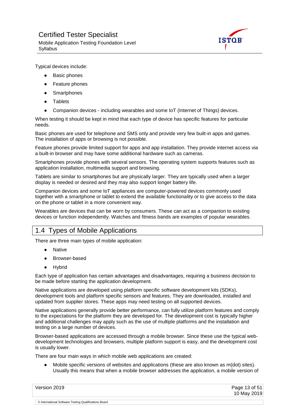

Typical devices include:

- Basic phones
- Feature phones
- Smartphones
- Tablets
- Companion devices including wearables and some IoT (Internet of Things) devices.

When testing it should be kept in mind that each type of device has specific features for particular needs.

Basic phones are used for telephone and SMS only and provide very few built-in apps and games. The installation of apps or browsing is not possible.

Feature phones provide limited support for apps and app installation. They provide internet access via a built-in browser and may have some additional hardware such as cameras.

Smartphones provide phones with several sensors. The operating system supports features such as application installation, multimedia support and browsing.

Tablets are similar to smartphones but are physically larger. They are typically used when a larger display is needed or desired and they may also support longer battery life.

Companion devices and some IoT appliances are computer-powered devices commonly used together with a smartphone or tablet to extend the available functionality or to give access to the data on the phone or tablet in a more convenient way.

Wearables are devices that can be worn by consumers. These can act as a companion to existing devices or function independently. Watches and fitness bands are examples of popular wearables.

## <span id="page-12-0"></span>1.4 Types of Mobile Applications

There are three main types of mobile application:

- Native
- Browser-based
- **Hybrid**

Each type of application has certain advantages and disadvantages, requiring a business decision to be made before starting the application development.

Native applications are developed using platform specific software development kits (SDKs), development tools and platform specific sensors and features. They are downloaded, installed and updated from supplier stores. These apps may need testing on all supported devices.

Native applications generally provide better performance, can fully utilize platform features and comply to the expectations for the platform they are developed for. The development cost is typically higher and additional challenges may apply such as the use of multiple platforms and the installation and testing on a large number of devices.

Browser-based applications are accessed through a mobile browser. Since these use the typical webdevelopment technologies and browsers, multiple platform support is easy, and the development cost is usually lower.

There are four main ways in which mobile web applications are created:

● Mobile specific versions of websites and applications (these are also known as m(dot) sites). Usually this means that when a mobile browser addresses the application, a mobile version of

| Page 13 of 51<br>10 May 2019 |
|------------------------------|
|                              |
|                              |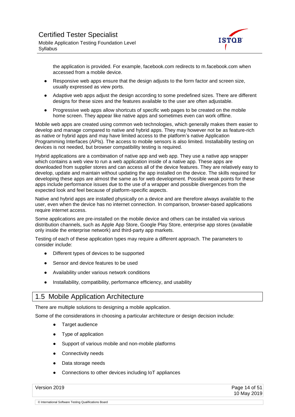

the application is provided. For example, facebook.com redirects to m.facebook.com when accessed from a mobile device.

- Responsive web apps ensure that the design adjusts to the form factor and screen size, usually expressed as view ports.
- Adaptive web apps adjust the design according to some predefined sizes. There are different designs for these sizes and the features available to the user are often adjustable.
- Progressive web apps allow shortcuts of specific web pages to be created on the mobile home screen. They appear like native apps and sometimes even can work offline.

Mobile web apps are created using common web technologies, which generally makes them easier to develop and manage compared to native and hybrid apps. They may however not be as feature-rich as native or hybrid apps and may have limited access to the platform's native Application Programming Interfaces (APIs). The access to mobile sensors is also limited. Installability testing on devices is not needed, but browser compatibility testing is required.

Hybrid applications are a combination of native app and web app. They use a native app wrapper which contains a web view to run a web application inside of a native app. These apps are downloaded from supplier stores and can access all of the device features. They are relatively easy to develop, update and maintain without updating the app installed on the device. The skills required for developing these apps are almost the same as for web development. Possible weak points for these apps include performance issues due to the use of a wrapper and possible divergences from the expected look and feel because of platform-specific aspects.

Native and hybrid apps are installed physically on a device and are therefore always available to the user, even when the device has no internet connection. In comparison, browser-based applications require internet access.

Some applications are pre-installed on the mobile device and others can be installed via various distribution channels, such as Apple App Store, Google Play Store, enterprise app stores (available only inside the enterprise network) and third-party app markets.

Testing of each of these application types may require a different approach. The parameters to consider include:

- Different types of devices to be supported
- Sensor and device features to be used
- Availability under various network conditions
- Installability, compatibility, performance efficiency, and usability

### <span id="page-13-0"></span>1.5 Mobile Application Architecture

There are multiple solutions to designing a mobile application.

Some of the considerations in choosing a particular architecture or design decision include:

- Target audience
- Type of application
- Support of various mobile and non-mobile platforms
- Connectivity needs
- Data storage needs
- Connections to other devices including IoT appliances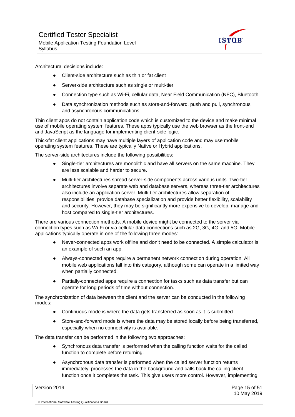

Architectural decisions include:

- Client-side architecture such as thin or fat client
- Server-side architecture such as single or multi-tier
- Connection type such as Wi-Fi, cellular data, Near Field Communication (NFC), Bluetooth
- Data synchronization methods such as store-and-forward, push and pull, synchronous and asynchronous communications

Thin client apps do not contain application code which is customized to the device and make minimal use of mobile operating system features. These apps typically use the web browser as the front-end and JavaScript as the language for implementing client-side logic.

Thick/fat client applications may have multiple layers of application code and may use mobile operating system features. These are typically Native or Hybrid applications.

The server-side architectures include the following possibilities:

- Single-tier architectures are monolithic and have all servers on the same machine. They are less scalable and harder to secure.
- Multi-tier architectures spread server-side components across various units. Two-tier architectures involve separate web and database servers, whereas three-tier architectures also include an application server. Multi-tier architectures allow separation of responsibilities, provide database specialization and provide better flexibility, scalability and security. However, they may be significantly more expensive to develop, manage and host compared to single-tier architectures.

There are various connection methods. A mobile device might be connected to the server via connection types such as Wi-Fi or via cellular data connections such as 2G, 3G, 4G, and 5G. Mobile applications typically operate in one of the following three modes:

- Never-connected apps work offline and don't need to be connected. A simple calculator is an example of such an app.
- Always-connected apps require a permanent network connection during operation. All mobile web applications fall into this category, although some can operate in a limited way when partially connected.
- Partially-connected apps require a connection for tasks such as data transfer but can operate for long periods of time without connection.

The synchronization of data between the client and the server can be conducted in the following modes:

- Continuous mode is where the data gets transferred as soon as it is submitted.
- Store-and-forward mode is where the data may be stored locally before being transferred, especially when no connectivity is available.

The data transfer can be performed in the following two approaches:

- Synchronous data transfer is performed when the calling function waits for the called function to complete before returning.
- Asynchronous data transfer is performed when the called server function returns immediately, processes the data in the background and calls back the calling client function once it completes the task. This give users more control. However, implementing

Version 2019 Page 15 of 51 10 May 2019 © International Software Testing Qualifications Board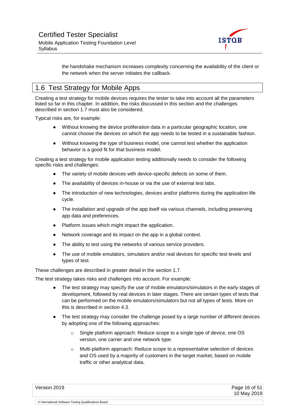

the handshake mechanism increases complexity concerning the availability of the client or the network when the server initiates the callback.

## <span id="page-15-0"></span>1.6 Test Strategy for Mobile Apps

Creating a test strategy for mobile devices requires the tester to take into account all the parameters listed so far in this chapter. In addition, the risks discussed in this section and the challenges described in section 1.7 must also be considered.

Typical risks are, for example:

- Without knowing the device proliferation data in a particular geographic location, one cannot choose the devices on which the app needs to be tested in a sustainable fashion.
- Without knowing the type of business model, one cannot test whether the application behavior is a good fit for that business model.

Creating a test strategy for mobile application testing additionally needs to consider the following specific risks and challenges:

- The variety of mobile devices with device-specific defects on some of them.
- The availability of devices in-house or via the use of external test labs.
- The introduction of new technologies, devices and/or platforms during the application life cycle.
- The installation and upgrade of the app itself via various channels, including preserving app data and preferences.
- Platform issues which might impact the application.
- Network coverage and its impact on the app in a global context.
- The ability to test using the networks of various service providers.
- The use of mobile emulators, simulators and/or real devices for specific test levels and types of test.

These challenges are described in greater detail in the section 1.7.

The test strategy takes risks and challenges into account. For example:

- The test strategy may specify the use of mobile emulators/simulators in the early stages of development, followed by real devices in later stages. There are certain types of tests that can be performed on the mobile emulators/simulators but not all types of tests. More on this is described in section 4.3.
- The test strategy may consider the challenge posed by a large number of different devices by adopting one of the following approaches:
	- o Single platform approach: Reduce scope to a single type of device, one OS version, one carrier and one network type.
	- o Multi-platform approach: Reduce scope to a representative selection of devices and OS used by a majority of customers in the target market, based on mobile traffic or other analytical data.

Version 2019 Page 16 of 51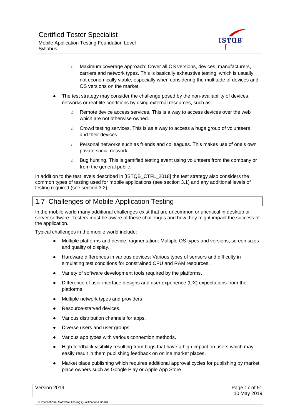

- o Maximum coverage approach: Cover all OS versions, devices, manufacturers, carriers and network types. This is basically exhaustive testing, which is usually not economically viable, especially when considering the multitude of devices and OS versions on the market.
- The test strategy may consider the challenge posed by the non-availability of devices, networks or real-life conditions by using external resources, such as:
	- $\circ$  Remote device access services. This is a way to access devices over the web which are not otherwise owned.
	- $\circ$  Crowd testing services. This is as a way to access a huge group of volunteers and their devices.
	- $\circ$  Personal networks such as friends and colleagues. This makes use of one's own private social network.
	- $\circ$  Bug hunting. This is gamified testing event using volunteers from the company or from the general public.

In addition to the test levels described in [ISTQB\_CTFL\_2018] the test strategy also considers the common types of testing used for mobile applications (see section 3.1) and any additional levels of testing required (see section 3.2).

## <span id="page-16-0"></span>1.7 Challenges of Mobile Application Testing

In the mobile world many additional challenges exist that are uncommon or uncritical in desktop or server software. Testers must be aware of these challenges and how they might impact the success of the application.

Typical challenges in the mobile world include:

- Multiple platforms and device fragmentation: Multiple OS types and versions, screen sizes and quality of display.
- Hardware differences in various devices: Various types of sensors and difficulty in simulating test conditions for constrained CPU and RAM resources.
- Variety of software development tools required by the platforms.
- Difference of user interface designs and user experience (UX) expectations from the platforms.
- Multiple network types and providers.
- Resource-starved devices.
- Various distribution channels for apps.
- Diverse users and user groups.
- Various app types with various connection methods.
- High feedback visibility resulting from bugs that have a high impact on users which may easily result in them publishing feedback on online market places.
- Market place publishing which requires additional approval cycles for publishing by market place owners such as Google Play or Apple App Store.

Version 2019 Page 17 of 51 10 May 2019 © International Software Testing Qualifications Board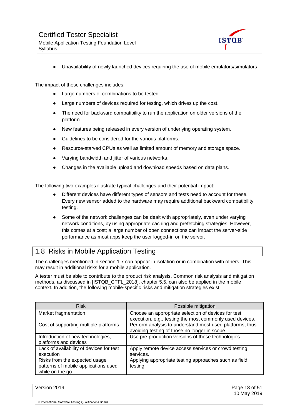

Unavailability of newly launched devices requiring the use of mobile emulators/simulators

The impact of these challenges includes:

- Large numbers of combinations to be tested.
- Large numbers of devices required for testing, which drives up the cost.
- The need for backward compatibility to run the application on older versions of the platform.
- New features being released in every version of underlying operating system.
- Guidelines to be considered for the various platforms.
- Resource-starved CPUs as well as limited amount of memory and storage space.
- Varying bandwidth and jitter of various networks.
- Changes in the available upload and download speeds based on data plans.

The following two examples illustrate typical challenges and their potential impact:

- Different devices have different types of sensors and tests need to account for these. Every new sensor added to the hardware may require additional backward compatibility testing.
- Some of the network challenges can be dealt with appropriately, even under varying network conditions, by using appropriate caching and prefetching strategies. However, this comes at a cost; a large number of open connections can impact the server-side performance as most apps keep the user logged-in on the server.

## <span id="page-17-0"></span>1.8 Risks in Mobile Application Testing

The challenges mentioned in section 1.7 can appear in isolation or in combination with others. This may result in additional risks for a mobile application.

A tester must be able to contribute to the product risk analysis. Common risk analysis and mitigation methods, as discussed in [ISTQB\_CTFL\_2018], chapter 5.5, can also be applied in the mobile context. In addition, the following mobile-specific risks and mitigation strategies exist:

| <b>Risk</b>                                                                              | Possible mitigation                                                                                             |
|------------------------------------------------------------------------------------------|-----------------------------------------------------------------------------------------------------------------|
| Market fragmentation                                                                     | Choose an appropriate selection of devices for test<br>execution, e.g., testing the most commonly used devices. |
| Cost of supporting multiple platforms                                                    | Perform analysis to understand most used platforms, thus<br>avoiding testing of those no longer in scope.       |
| Introduction of new technologies,<br>platforms and devices                               | Use pre-production versions of those technologies.                                                              |
| Lack of availability of devices for test<br>execution                                    | Apply remote device access services or crowd testing<br>services.                                               |
| Risks from the expected usage<br>patterns of mobile applications used<br>while on the go | Applying appropriate testing approaches such as field<br>testing                                                |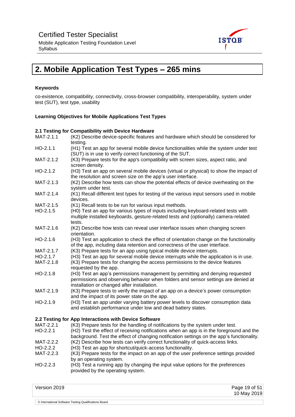

Mobile Application Testing Foundation Level **Syllabus** 

## <span id="page-18-0"></span>**2. Mobile Application Test Types – 265 mins**

#### **Keywords**

co-existence, compatibility, connectivity, cross-browser compatibility, interoperability, system under test (SUT), test type, usability

#### **Learning Objectives for Mobile Applications Test Types**

#### **2.1 Testing for Compatibility with Device Hardware**

- MAT-2.1.1 (K2) Describe device-specific features and hardware which should be considered for testing. HO-2.1.1 (H1) Test an app for several mobile device functionalities while the system under test (SUT) is in use to verify correct functioning of the SUT. MAT-2.1.2 (K3) Prepare tests for the app's compatibility with screen sizes, aspect ratio, and screen density. HO-2.1.2 (H3) Test an app on several mobile devices (virtual or physical) to show the impact of the resolution and screen size on the app's user interface. MAT-2.1.3 (K2) Describe how tests can show the potential effects of device overheating on the system under test. MAT-2.1.4 (K1) Recall different test types for testing of the various input sensors used in mobile devices. MAT-2.1.5 (K1) Recall tests to be run for various input methods. HO-2.1.5 (H0) Test an app for various types of inputs including keyboard-related tests with multiple installed keyboards, gesture-related tests and (optionally) camera-related tests. MAT-2.1.6 (K2) Describe how tests can reveal user interface issues when changing screen orientation. HO-2.1.6 (H3) Test an application to check the effect of orientation change on the functionality of the app, including data retention and correctness of the user interface. MAT-2.1.7 (K3) Prepare tests for an app using typical mobile device interrupts. HO-2.1.7 (H3) Test an app for several mobile device interrupts while the application is in use. MAT-2.1.8 (K3) Prepare tests for changing the access permissions to the device features requested by the app. HO-2.1.8 (H3) Test an app's permissions management by permitting and denying requested permissions and observing behavior when folders and sensor settings are denied at installation or changed after installation. MAT-2.1.9 (K3) Prepare tests to verify the impact of an app on a device's power consumption and the impact of its power state on the app. HO-2.1.9 (H3) Test an app under varying battery power levels to discover consumption data and establish performance under low and dead battery states. **2.2 Testing for App Interactions with Device Software** MAT-2.2.1 (K3) Prepare tests for the handling of notifications by the system under test. HO-2.2.1 (H2) Test the effect of receiving notifications when an app is in the foreground and the background. Test the effect of changing notification settings on the app's functionality. MAT-2.2.2 (K2) Describe how tests can verify correct functionality of quick-access links.
- HO-2.2.2 (H3) Test an app for shortcut/quick-access functionality.

- MAT-2.2.3 (K3) Prepare tests for the impact on an app of the user preference settings provided by an operating system.
- HO-2.2.3 (H3) Test a running app by changing the input value options for the preferences provided by the operating system.

| Version 2019 | Page 19 of 51 |
|--------------|---------------|
|              | 10 May 2019   |
|              |               |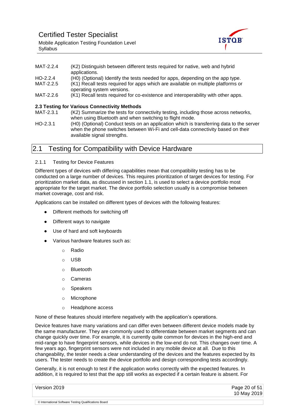<span id="page-19-2"></span>Mobile Application Testing Foundation Level **Syllabus** 



| MAT-2.2.4  | (K2) Distinguish between different tests required for native, web and hybrid<br>applications.                  |
|------------|----------------------------------------------------------------------------------------------------------------|
| $HO-2.2.4$ | (H0) (Optional) Identify the tests needed for apps, depending on the app type.                                 |
| MAT-2.2.5  | (K1) Recall tests required for apps which are available on multiple platforms or<br>operating system versions. |
| MAT-2.2.6  | (K1) Recall tests required for co-existence and interoperability with other apps.                              |
|            | 2.3 Testing for Various Connectivity Methods                                                                   |
| MAT-2.3.1  | (K2) Summarize the tests for connectivity testing, including those across networks,                            |

when using Bluetooth and when switching to flight mode. HO-2.3.1 (H0) (Optional) Conduct tests on an application which is transferring data to the server when the phone switches between Wi-Fi and cell-data connectivity based on their available signal strengths.

## <span id="page-19-0"></span>2.1 Testing for Compatibility with Device Hardware

#### <span id="page-19-1"></span>2.1.1 Testing for Device Features

Different types of devices with differing capabilities mean that compatibility testing has to be conducted on a large number of devices. This requires prioritization of target devices for testing. For prioritization market data, as discussed in section 1.1, is used to select a device portfolio most appropriate for the target market. The device portfolio selection usually is a compromise between market coverage, cost and risk.

Applications can be installed on different types of devices with the following features:

- Different methods for switching off
- Different ways to navigate
- Use of hard and soft keyboards
- Various hardware features such as:
	- o Radio
	- o USB
	- o Bluetooth
	- o Cameras
	- o Speakers
	- o Microphone
	- o Headphone access

None of these features should interfere negatively with the application's operations.

Device features have many variations and can differ even between different device models made by the same manufacturer. They are commonly used to differentiate between market segments and can change quickly over time. For example, it is currently quite common for devices in the high-end and mid-range to have fingerprint sensors, while devices in the low-end do not. This changes over time. A few years ago, fingerprint sensors were not included in any mobile device at all. Due to this changeability, the tester needs a clear understanding of the devices and the features expected by its users. The tester needs to create the device portfolio and design corresponding tests accordingly.

Generally, it is not enough to test if the application works correctly with the expected features. In addition, it is required to test that the app still works as expected if a certain feature is absent. For

| Version 2019                                          | Page 20 of 51 |
|-------------------------------------------------------|---------------|
|                                                       | 10 May 2019   |
| © International Software Testing Qualifications Board |               |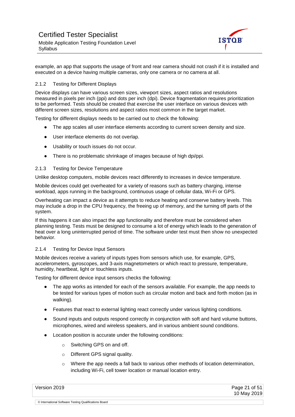

example, an app that supports the usage of front and rear camera should not crash if it is installed and executed on a device having multiple cameras, only one camera or no camera at all.

#### 2.1.2 Testing for Different Displays

Device displays can have various screen sizes, viewport sizes, aspect ratios and resolutions measured in pixels per inch (ppi) and dots per inch (dpi). Device fragmentation requires prioritization to be performed. Tests should be created that exercise the user interface on various devices with different screen sizes, resolutions and aspect ratios most common in the target market.

Testing for different displays needs to be carried out to check the following:

- The app scales all user interface elements according to current screen density and size.
- User interface elements do not overlap.
- Usability or touch issues do not occur.
- There is no problematic shrinkage of images because of high dpi/ppi.

#### <span id="page-20-0"></span>2.1.3 Testing for Device Temperature

Unlike desktop computers, mobile devices react differently to increases in device temperature.

Mobile devices could get overheated for a variety of reasons such as battery charging, intense workload, apps running in the background, continuous usage of cellular data, Wi-Fi or GPS.

Overheating can impact a device as it attempts to reduce heating and conserve battery levels. This may include a drop in the CPU frequency, the freeing up of memory, and the turning off parts of the system.

If this happens it can also impact the app functionality and therefore must be considered when planning testing. Tests must be designed to consume a lot of energy which leads to the generation of heat over a long uninterrupted period of time. The software under test must then show no unexpected behavior.

#### <span id="page-20-1"></span>2.1.4 Testing for Device Input Sensors

Mobile devices receive a variety of inputs types from sensors which use, for example, GPS, accelerometers, gyroscopes, and 3-axis magnetometers or which react to pressure, temperature, humidity, heartbeat, light or touchless inputs.

Testing for different device input sensors checks the following:

- The app works as intended for each of the sensors available. For example, the app needs to be tested for various types of motion such as circular motion and back and forth motion (as in walking).
- Features that react to external lighting react correctly under various lighting conditions.
- Sound inputs and outputs respond correctly in conjunction with soft and hard volume buttons, microphones, wired and wireless speakers, and in various ambient sound conditions.
- Location position is accurate under the following conditions:
	- o Switching GPS on and off.
	- o Different GPS signal quality.

© International Software Testing Qualifications Board

 $\circ$  Where the app needs a fall back to various other methods of location determination, including Wi-Fi, cell tower location or manual location entry.

| Version 2019 | Page 21 of 51 |
|--------------|---------------|
|              | 10 May 2019   |
|              |               |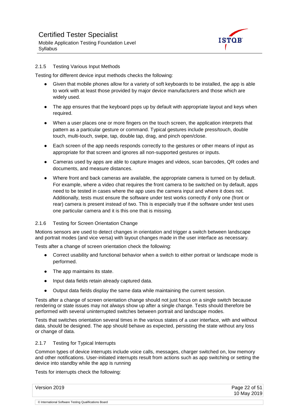

#### <span id="page-21-0"></span>2.1.5 Testing Various Input Methods

Testing for different device input methods checks the following:

- Given that mobile phones allow for a variety of soft keyboards to be installed, the app is able to work with at least those provided by major device manufacturers and those which are widely used.
- The app ensures that the keyboard pops up by default with appropriate layout and keys when required.
- When a user places one or more fingers on the touch screen, the application interprets that pattern as a particular gesture or command. Typical gestures include press/touch, double touch, multi-touch, swipe, tap, double tap, drag, and pinch open/close.
- Each screen of the app needs responds correctly to the gestures or other means of input as appropriate for that screen and ignores all non-supported gestures or inputs.
- Cameras used by apps are able to capture images and videos, scan barcodes, QR codes and documents, and measure distances.
- Where front and back cameras are available, the appropriate camera is turned on by default. For example, where a video chat requires the front camera to be switched on by default, apps need to be tested in cases where the app uses the camera input and where it does not. Additionally, tests must ensure the software under test works correctly if only one (front or rear) camera is present instead of two. This is especially true if the software under test uses one particular camera and it is this one that is missing.

#### <span id="page-21-1"></span>2.1.6 Testing for Screen Orientation Change

Motions sensors are used to detect changes in orientation and trigger a switch between landscape and portrait modes (and vice versa) with layout changes made in the user interface as necessary.

Tests after a change of screen orientation check the following:

- Correct usability and functional behavior when a switch to either portrait or landscape mode is performed.
- The app maintains its state.
- Input data fields retain already captured data.
- Output data fields display the same data while maintaining the current session.

Tests after a change of screen orientation change should not just focus on a single switch because rendering or state issues may not always show up after a single change. Tests should therefore be performed with several uninterrupted switches between portrait and landscape modes.

Tests that switches orientation several times in the various states of a user interface, with and without data, should be designed. The app should behave as expected, persisting the state without any loss or change of data.

#### <span id="page-21-2"></span>2.1.7 Testing for Typical Interrupts

Common types of device interrupts include voice calls, messages, charger switched on, low memory and other notifications. User-initiated interrupts result from actions such as app switching or setting the device into standby while the app is running

Tests for interrupts check the following:

| Version 2019                                          | Page 22 of $51$ |
|-------------------------------------------------------|-----------------|
|                                                       | 10 May 2019     |
| © International Software Testing Qualifications Board |                 |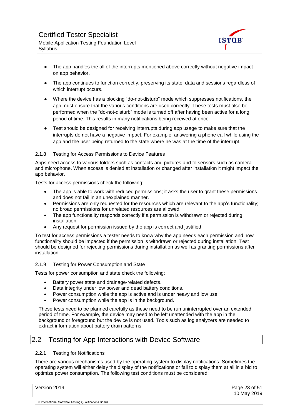

- <span id="page-22-4"></span>• The app handles the all of the interrupts mentioned above correctly without negative impact on app behavior.
- The app continues to function correctly, preserving its state, data and sessions regardless of which interrupt occurs.
- Where the device has a blocking "do-not-disturb" mode which suppresses notifications, the app must ensure that the various conditions are used correctly. These tests must also be performed when the "do-not-disturb" mode is turned off after having been active for a long period of time. This results in many notifications being received at once.
- Test should be designed for receiving interrupts during app usage to make sure that the interrupts do not have a negative impact. For example, answering a phone call while using the app and the user being returned to the state where he was at the time of the interrupt.

#### <span id="page-22-0"></span>2.1.8 Testing for Access Permissions to Device Features

Apps need access to various folders such as contacts and pictures and to sensors such as camera and microphone. When access is denied at installation or changed after installation it might impact the app behavior.

Tests for access permissions check the following:

- The app is able to work with reduced permissions; it asks the user to grant these permissions and does not fail in an unexplained manner.
- Permissions are only requested for the resources which are relevant to the app's functionality; no broad permissions for unrelated resources are allowed.
- The app functionality responds correctly if a permission is withdrawn or rejected during installation.
- Any request for permission issued by the app is correct and justified.

To test for access permissions a tester needs to know why the app needs each permission and how functionality should be impacted if the permission is withdrawn or rejected during installation. Test should be designed for rejecting permissions during installation as well as granting permissions after installation.

#### <span id="page-22-1"></span>2.1.9 Testing for Power Consumption and State

Tests for power consumption and state check the following:

- Battery power state and drainage-related defects.
- Data integrity under low power and dead battery conditions.
- Power consumption while the app is active and is under heavy and low use.
- Power consumption while the app is in the background.

These tests need to be planned carefully as these need to be run uninterrupted over an extended period of time. For example, the device may need to be left unattended with the app in the background or foreground but the device is not used. Tools such as log analyzers are needed to extract information about battery drain patterns.

## <span id="page-22-2"></span>2.2 Testing for App Interactions with Device Software

#### <span id="page-22-3"></span>2.2.1 Testing for Notifications

© International Software Testing Qualifications Board

There are various mechanisms used by the operating system to display notifications. Sometimes the operating system will either delay the display of the notifications or fail to display them at all in a bid to optimize power consumption. The following test conditions must be considered:

| Version 2019 | Page 23 of 51<br>10 May 2019 |
|--------------|------------------------------|
|              |                              |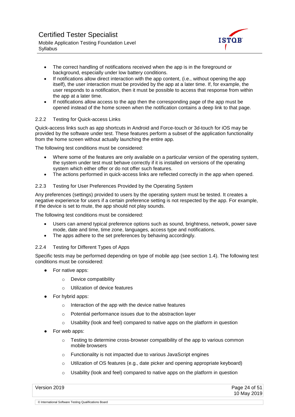

- <span id="page-23-2"></span>• The correct handling of notifications received when the app is in the foreground or background, especially under low battery conditions.
- If notifications allow direct interaction with the app content, (i.e., without opening the app itself), the user interaction must be provided by the app at a later time. If, for example, the user responds to a notification, then it must be possible to access that response from within the app at a later time.
- If notifications allow access to the app then the corresponding page of the app must be opened instead of the home screen when the notification contains a deep link to that page.

#### 2.2.2 Testing for Quick-access Links

Quick-access links such as app shortcuts in Android and Force-touch or 3d-touch for iOS may be provided by the software under test. These features perform a subset of the application functionality from the home screen without actually launching the entire app.

The following test conditions must be considered:

- Where some of the features are only available on a particular version of the operating system, the system under test must behave correctly if it is installed on versions of the operating system which either offer or do not offer such features.
- The actions performed in quick-access links are reflected correctly in the app when opened.

#### <span id="page-23-0"></span>2.2.3 Testing for User Preferences Provided by the Operating System

Any preferences (settings) provided to users by the operating system must be tested. It creates a negative experience for users if a certain preference setting is not respected by the app. For example, if the device is set to mute, the app should not play sounds.

The following test conditions must be considered:

- Users can amend typical preference options such as sound, brightness, network, power save mode, date and time, time zone, languages, access type and notifications.
- The apps adhere to the set preferences by behaving accordingly.

#### <span id="page-23-1"></span>2.2.4 Testing for Different Types of Apps

Specific tests may be performed depending on type of mobile app (see section 1.4). The following test conditions must be considered:

- For native apps:
	- o Device compatibility
	- o Utilization of device features
- For hybrid apps:
	- o Interaction of the app with the device native features
	- o Potential performance issues due to the abstraction layer
	- $\circ$  Usability (look and feel) compared to native apps on the platform in question
- For web apps:
	- $\circ$  Testing to determine cross-browser compatibility of the app to various common mobile browsers
	- o Functionality is not impacted due to various JavaScript engines
	- $\circ$  Utilization of OS features (e.g., date picker and opening appropriate keyboard)
	- $\circ$  Usability (look and feel) compared to native apps on the platform in question

Version 2019 Page 24 of 51 10 May 2019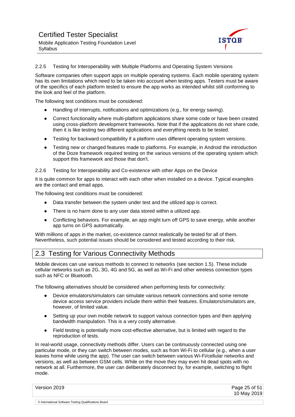

#### 2.2.5 Testing for Interoperability with Multiple Platforms and Operating System Versions

Software companies often support apps on multiple operating systems. Each mobile operating system has its own limitations which need to be taken into account when testing apps. Testers must be aware of the specifics of each platform tested to ensure the app works as intended whilst still conforming to the look and feel of the platform.

The following test conditions must be considered:

- Handling of interrupts, notifications and optimizations (e.g., for energy saving).
- Correct functionality where multi-platform applications share some code or have been created using cross-platform development frameworks. Note that if the applications do not share code, then it is like testing two different applications and everything needs to be tested.
- Testing for backward compatibility if a platform uses different operating system versions.
- Testing new or changed features made to platforms. For example, in Android the introduction of the Doze framework required testing on the various versions of the operating system which support this framework and those that don't.

#### <span id="page-24-0"></span>2.2.6 Testing for Interoperability and Co-existence with other Apps on the Device

It is quite common for apps to interact with each other when installed on a device. Typical examples are the contact and email apps.

The following test conditions must be considered:

© International Software Testing Qualifications Board

- Data transfer between the system under test and the utilized app is correct.
- There is no harm done to any user data stored within a utilized app.
- Conflicting behaviors. For example, an app might turn off GPS to save energy, while another app turns on GPS automatically.

With millions of apps in the market, co-existence cannot realistically be tested for all of them. Nevertheless, such potential issues should be considered and tested according to their risk.

### <span id="page-24-1"></span>2.3 Testing for Various Connectivity Methods

Mobile devices can use various methods to connect to networks (see section 1.5). These include cellular networks such as 2G, 3G, 4G and 5G, as well as Wi-Fi and other wireless connection types such as NFC or Bluetooth.

The following alternatives should be considered when performing tests for connectivity:

- Device emulators/simulators can simulate various network connections and some remote device access service providers include them within their features. Emulators/simulators are, however, of limited value.
- Setting up your own mobile network to support various connection types and then applying bandwidth manipulation. This is a very costly alternative.
- Field testing is potentially more cost-effective alternative, but is limited with regard to the reproduction of tests.

In real-world usage, connectivity methods differ. Users can be continuously connected using one particular mode, or they can switch between modes, such as from Wi-Fi to cellular (e.g., when a user leaves home while using the app). The user can switch between various Wi-Fi/cellular networks and versions, as well as between GSM cells. While on the move they may even hit dead spots with no network at all. Furthermore, the user can deliberately disconnect by, for example, switching to flight mode.

| Version 2019 | Page 25 of 51 |
|--------------|---------------|
|              | 10 May 2019   |
|              |               |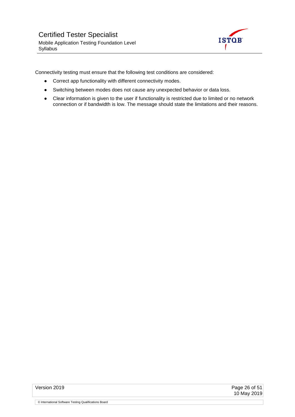

Connectivity testing must ensure that the following test conditions are considered:

- Correct app functionality with different connectivity modes.
- Switching between modes does not cause any unexpected behavior or data loss.
- Clear information is given to the user if functionality is restricted due to limited or no network connection or if bandwidth is low. The message should state the limitations and their reasons.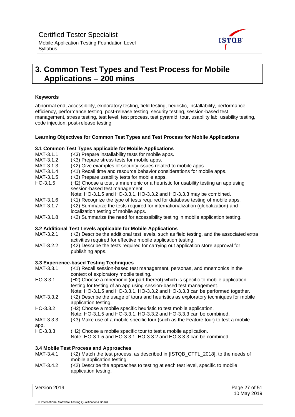

## <span id="page-26-1"></span><span id="page-26-0"></span>**3. Common Test Types and Test Process for Mobile Applications – 200 mins**

#### **Keywords**

abnormal end, accessibility, exploratory testing, field testing, heuristic, installability, performance efficiency, performance testing, post-release testing, security testing, session-based test management, stress testing, test level, test process, test pyramid, tour, usability lab, usability testing, code injection, post-release testing

#### **Learning Objectives for Common Test Types and Test Process for Mobile Applications**

#### **3.1 Common Test Types applicable for Mobile Applications**

| MAT-3.1.1  | (K3) Prepare installability tests for mobile apps.                                                                                                         |
|------------|------------------------------------------------------------------------------------------------------------------------------------------------------------|
| MAT-3.1.2  | (K3) Prepare stress tests for mobile apps.                                                                                                                 |
| MAT-3.1.3  | (K2) Give examples of security issues related to mobile apps.                                                                                              |
| MAT-3.1.4  | (K1) Recall time and resource behavior considerations for mobile apps.                                                                                     |
| MAT-3.1.5  | (K3) Prepare usability tests for mobile apps.                                                                                                              |
| $HO-3.1.5$ | (H2) Choose a tour, a mnemonic or a heuristic for usability testing an app using<br>session-based test management.                                         |
|            | Note: HO-3.1.5 and HO-3.3.1, HO-3.3.2 and HO-3.3.3 may be combined.                                                                                        |
| MAT-3.1.6  | (K1) Recognize the type of tests required for database testing of mobile apps.                                                                             |
| MAT-3.1.7  | (K2) Summarize the tests required for internationalization (globalization) and<br>localization testing of mobile apps.                                     |
| MAT-3.1.8  | (K2) Summarize the need for accessibility testing in mobile application testing.                                                                           |
|            | 3.2 Additional Test Levels applicable for Mobile Applications                                                                                              |
| MAT-3.2.1  | (K2) Describe the additional test levels, such as field testing, and the associated extra<br>activities required for effective mobile application testing. |
|            |                                                                                                                                                            |

MAT-3.2.2 (K2) Describe the tests required for carrying out application store approval for publishing apps.

#### **3.3 Experience-based Testing Techniques**

- MAT-3.3.1 (K1) Recall session-based test management, personas, and mnemonics in the context of exploratory mobile testing.
- HO-3.3.1 (H2) Choose a mnemonic (or part thereof) which is specific to mobile application testing for testing of an app using session-based test management. Note: HO-3.1.5 and HO-3.3.1, HO-3.3.2 and HO-3.3.3 can be performed together.
- MAT-3.3.2 (K2) Describe the usage of tours and heuristics as exploratory techniques for mobile application testing.
- HO-3.3.2 (H2) Choose a mobile specific heuristic to test mobile application.
- Note: HO-3.1.5 and HO-3.3.1, HO-3.3.2 and HO-3.3.3 can be combined.
- MAT-3.3.3 (K3) Make use of a mobile specific tour (such as the Feature tour) to test a mobile

app.

- HO-3.3.3 (H2) Choose a mobile specific tour to test a mobile application. Note: HO-3.1.5 and HO-3.3.1, HO-3.3.2 and HO-3.3.3 can be combined.
- 

#### **3.4 Mobile Test Process and Approaches**

- MAT-3.4.1 (K2) Match the test process, as described in [ISTQB\_CTFL\_2018], to the needs of mobile application testing.
- MAT-3.4.2 (K2) Describe the approaches to testing at each test level, specific to mobile application testing.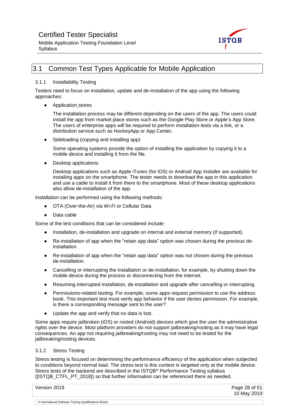



## <span id="page-27-0"></span>3.1 Common Test Types Applicable for Mobile Application

#### 3.1.1 Installability Testing

Testers need to focus on installation, update and de-installation of the app using the following approaches:

● Application stores

The installation process may be different depending on the users of the app. The users could install the app from market place stores such as the Google Play Store or Apple's App Store. The users of enterprise apps will be required to perform installation tests via a link, or a distribution service such as HockeyApp or App Center.

• Sideloading (copying and installing app)

Some operating systems provide the option of installing the application by copying it to a mobile device and installing it from the file.

● Desktop applications

Desktop applications such as Apple iTunes (for iOS) or Android App Installer are available for installing apps on the smartphone. The tester needs to download the app in this application and use a cable to install it from there to the smartphone. Most of these desktop applications also allow de-installation of the app.

Installation can be performed using the following methods:

- OTA (Over-the-Air) via Wi-Fi or Cellular Data
- Data cable

Some of the test conditions that can be considered include:

- Installation, de-installation and upgrade on internal and external memory (if supported).
- Re-installation of app when the "retain app data" option was chosen during the previous deinstallation.
- Re-installation of app when the "retain app data" option was not chosen during the previous de-installation.
- Cancelling or interrupting the installation or de-installation, for example, by shutting down the mobile device during the process or disconnecting from the internet.
- Resuming interrupted installation, de-installation and upgrade after cancelling or interrupting.
- Permissions-related testing. For example, some apps request permission to use the address book. This important test must verify app behavior if the user denies permission. For example, is there a corresponding message sent to the user?
- Update the app and verify that no data is lost.

Some apps require jailbroken (iOS) or rooted (Android) devices which give the user the administrative rights over the device. Most platform providers do not support jailbreaking/rooting as it may have legal consequences. An app not requiring jailbreaking/rooting may not need to be tested for the jailbreaking/rooting devices.

#### <span id="page-27-1"></span>3.1.2 Stress Testing

Stress testing is focused on determining the performance efficiency of the application when subjected to conditions beyond normal load. The stress test is this context is targeted only at the mobile device. Stress tests of the backend are described in the ISTQB® Performance Testing syllabus ([ISTQB\_CTFL\_PT\_2018]) so that further information can be referenced there as needed.

| Version 2019                                          | Page 28 of 51 |
|-------------------------------------------------------|---------------|
|                                                       | 10 May 2019   |
|                                                       |               |
| © International Software Testing Qualifications Board |               |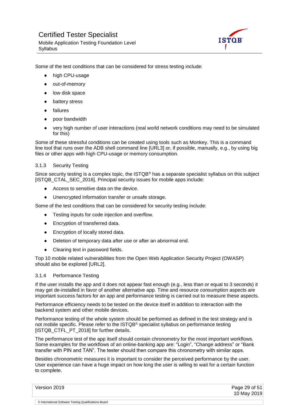

Some of the test conditions that can be considered for stress testing include:

- high CPU-usage
- out-of-memory
- low disk space
- battery stress
- failures
- poor bandwidth
- very high number of user interactions (real world network conditions may need to be simulated for this)

Some of these stressful conditions can be created using tools such as Monkey. This is a command line tool that runs over the ADB shell command line [URL3] or, if possible, manually, e.g., by using big files or other apps with high CPU-usage or memory consumption.

#### <span id="page-28-0"></span>3.1.3 Security Testing

Since security testing is a complex topic, the ISTQB® has a separate specialist syllabus on this subject [ISTQB\_CTAL\_SEC\_2016]. Principal security issues for mobile apps include:

- Access to sensitive data on the device.
- Unencrypted information transfer or unsafe storage.

Some of the test conditions that can be considered for security testing include:

- Testing inputs for code injection and overflow.
- Encryption of transferred data.
- Encryption of locally stored data.
- Deletion of temporary data after use or after an abnormal end.
- Clearing text in password fields.

Top 10 mobile related vulnerabilities from the Open Web Application Security Project (OWASP) should also be explored [URL2].

#### <span id="page-28-1"></span>3.1.4 Performance Testing

If the user installs the app and it does not appear fast enough (e.g., less than or equal to 3 seconds) it may get de-installed in favor of another alternative app. Time and resource consumption aspects are important success factors for an app and performance testing is carried out to measure these aspects.

Performance efficiency needs to be tested on the device itself in addition to interaction with the backend system and other mobile devices.

Performance testing of the whole system should be performed as defined in the test strategy and is not mobile specific. Please refer to the ISTQB® specialist syllabus on performance testing [ISTQB\_CTFL\_PT\_2018] for further details.

The performance test of the app itself should contain chronometry for the most important workflows. Some examples for the workflows of an online-banking app are: "Login", "Change address" or "Bank transfer with PIN and TAN". The tester should then compare this chronometry with similar apps.

Besides chronometric measures it is important to consider the perceived performance by the user. User experience can have a huge impact on how long the user is willing to wait for a certain function to complete.

| Version 2019                                          | Page 29 of 51 |
|-------------------------------------------------------|---------------|
|                                                       | 10 May 2019   |
| © International Software Testing Qualifications Board |               |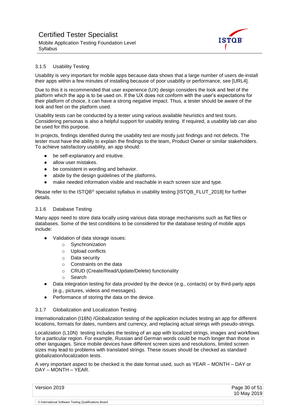

#### <span id="page-29-0"></span>3.1.5 Usability Testing

Usability is very important for mobile apps because data shows that a large number of users de-install their apps within a few minutes of installing because of poor usability or performance, see [URL4].

Due to this it is recommended that user experience (UX) design considers the look and feel of the platform which the app is to be used on. If the UX does not conform with the user's expectations for their platform of choice, it can have a strong negative impact. Thus, a tester should be aware of the look and feel on the platform used.

Usability tests can be conducted by a tester using various available heuristics and test tours. Considering personas is also a helpful support for usability testing. If required, a usability lab can also be used for this purpose.

In projects, findings identified during the usability test are mostly just findings and not defects. The tester must have the ability to explain the findings to the team, Product Owner or similar stakeholders. To achieve satisfactory usability, an app should:

- be self-explanatory and intuitive.
- allow user mistakes.
- be consistent in wording and behavior.
- abide by the design guidelines of the platforms.
- make needed information visible and reachable in each screen size and type.

Please refer to the ISTQB® specialist syllabus in usability testing [ISTQB\_FLUT\_2018] for further details.

#### <span id="page-29-1"></span>3.1.6 Database Testing

Many apps need to store data locally using various data storage mechanisms such as flat files or databases. Some of the test conditions to be considered for the database testing of mobile apps include:

- Validation of data storage issues:
	- o Synchronization
	- o Upload conflicts
	- o Data security
	- o Constraints on the data
	- o CRUD (Create/Read/Update/Delete) functionality
	- o Search
- Data integration testing for data provided by the device (e.g., contacts) or by third-party apps (e.g., pictures, videos and messages).
- Performance of storing the data on the device.

#### <span id="page-29-2"></span>3.1.7 Globalization and Localization Testing

Internationalization (I18N) /Globalization testing of the application includes testing an app for different locations, formats for dates, numbers and currency, and replacing actual strings with pseudo-strings.

Localization (L10N) testing includes the testing of an app with localized strings, images and workflows for a particular region. For example, Russian and German words could be much longer than those in other languages. Since mobile devices have different screen sizes and resolutions, limited screen sizes may lead to problems with translated strings. These issues should be checked as standard globalization/localization tests.

A very important aspect to be checked is the date format used, such as YEAR – MONTH – DAY or DAY – MONTH – YEAR.

| Version 2019                                          | Page 30 of $51$ |
|-------------------------------------------------------|-----------------|
|                                                       | 10 May 2019     |
| © International Software Testing Qualifications Board |                 |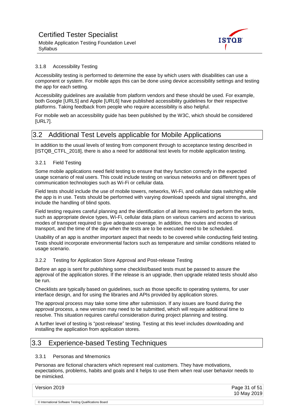

#### <span id="page-30-0"></span>3.1.8 Accessibility Testing

Accessibility testing is performed to determine the ease by which users with disabilities can use a component or system. For mobile apps this can be done using device accessibility settings and testing the app for each setting.

Accessibility guidelines are available from platform vendors and these should be used. For example, both Google [URL5] and Apple [URL6] have published accessibility guidelines for their respective platforms. Taking feedback from people who require accessibility is also helpful.

For mobile web an accessibility guide has been published by the W3C, which should be considered [URL7].

### <span id="page-30-1"></span>3.2 Additional Test Levels applicable for Mobile Applications

In addition to the usual levels of testing from component through to acceptance testing described in [ISTQB\_CTFL\_2018], there is also a need for additional test levels for mobile application testing.

#### <span id="page-30-2"></span>3.2.1 Field Testing

Some mobile applications need field testing to ensure that they function correctly in the expected usage scenario of real users. This could include testing on various networks and on different types of communication technologies such as Wi-Fi or cellular data.

Field tests should include the use of mobile towers, networks, Wi-Fi, and cellular data switching while the app is in use. Tests should be performed with varying download speeds and signal strengths, and include the handling of blind spots.

Field testing requires careful planning and the identification of all items required to perform the tests, such as appropriate device types, Wi-Fi, cellular data plans on various carriers and access to various modes of transport required to give adequate coverage. In addition, the routes and modes of transport, and the time of the day when the tests are to be executed need to be scheduled.

Usability of an app is another important aspect that needs to be covered while conducting field testing. Tests should incorporate environmental factors such as temperature and similar conditions related to usage scenario.

#### <span id="page-30-3"></span>3.2.2 Testing for Application Store Approval and Post-release Testing

Before an app is sent for publishing some checklist/based tests must be passed to assure the approval of the application stores. If the release is an upgrade, then upgrade related tests should also be run.

Checklists are typically based on guidelines, such as those specific to operating systems, for user interface design, and for using the libraries and APIs provided by application stores.

The approval process may take some time after submission. If any issues are found during the approval process, a new version may need to be submitted, which will require additional time to resolve. This situation requires careful consideration during project planning and testing.

A further level of testing is "post-release" testing. Testing at this level includes downloading and installing the application from application stores.

### <span id="page-30-4"></span>3.3 Experience-based Testing Techniques

#### <span id="page-30-5"></span>3.3.1 Personas and Mnemonics

Personas are fictional characters which represent real customers. They have motivations, expectations, problems, habits and goals and it helps to use them when real user behavior needs to be mimicked.

Version 2019 **Page 31 of 51** 10 May 2019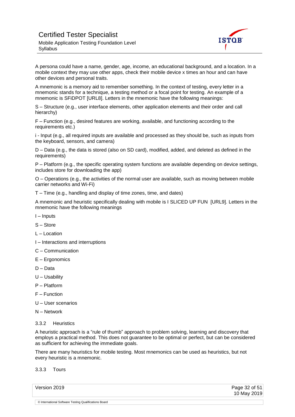

A persona could have a name, gender, age, income, an educational background, and a location. In a mobile context they may use other apps, check their mobile device x times an hour and can have other devices and personal traits.

A mnemonic is a memory aid to remember something. In the context of testing, every letter in a mnemonic stands for a technique, a testing method or a focal point for testing. An example of a mnemonic is SFiDPOT [URL8]. Letters in the mnemonic have the following meanings:

S – Structure (e.g., user interface elements, other application elements and their order and call hierarchy)

F – Function (e.g., desired features are working, available, and functioning according to the requirements etc.)

i - Input (e.g., all required inputs are available and processed as they should be, such as inputs from the keyboard, sensors, and camera)

D – Data (e.g., the data is stored (also on SD card), modified, added, and deleted as defined in the requirements)

P – Platform (e.g., the specific operating system functions are available depending on device settings, includes store for downloading the app)

O – Operations (e.g., the activities of the normal user are available, such as moving between mobile carrier networks and Wi-Fi)

T – Time (e.g., handling and display of time zones, time, and dates)

A mnemonic and heuristic specifically dealing with mobile is I SLICED UP FUN [URL9]. Letters in the mnemonic have the following meanings

- I Inputs
- S Store
- L Location
- I Interactions and interruptions
- C Communication
- E Ergonomics
- D Data
- U Usability
- P Platform
- F Function
- U User scenarios
- N Network
- <span id="page-31-0"></span>3.3.2 Heuristics

A heuristic approach is a "rule of thumb" approach to problem solving, learning and discovery that employs a practical method. This does not guarantee to be optimal or perfect, but can be considered as sufficient for achieving the immediate goals.

There are many heuristics for mobile testing. Most mnemonics can be used as heuristics, but not every heuristic is a mnemonic.

<span id="page-31-1"></span>3.3.3 Tours

| Version 2019                                          | Page 32 of 51 |
|-------------------------------------------------------|---------------|
|                                                       | 10 May 2019   |
| © International Software Testing Qualifications Board |               |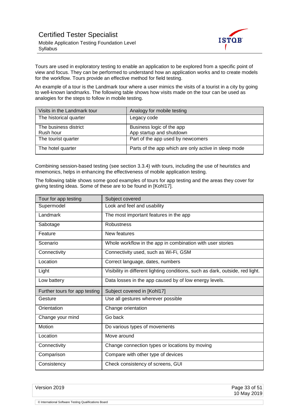

Tours are used in exploratory testing to enable an application to be explored from a specific point of view and focus. They can be performed to understand how an application works and to create models for the workflow. Tours provide an effective method for field testing.

An example of a tour is the Landmark tour where a user mimics the visits of a tourist in a city by going to well-known landmarks. The following table shows how visits made on the tour can be used as analogies for the steps to follow in mobile testing.

| Visits in the Landmark tour | Analogy for mobile testing                           |
|-----------------------------|------------------------------------------------------|
| The historical quarter      | Legacy code                                          |
| The business district       | Business logic of the app                            |
| Rush hour                   | App startup and shutdown                             |
| The tourist quarter         | Part of the app used by newcomers                    |
| The hotel quarter           | Parts of the app which are only active in sleep mode |

Combining session-based testing (see section 3.3.4) with tours, including the use of heuristics and mnemonics, helps in enhancing the effectiveness of mobile application testing.

The following table shows some good examples of tours for app testing and the areas they cover for giving testing ideas. Some of these are to be found in [Kohl17].

| Tour for app testing          | Subject covered                                                                |
|-------------------------------|--------------------------------------------------------------------------------|
| Supermodel                    | Look and feel and usability                                                    |
| Landmark                      | The most important features in the app                                         |
| Sabotage                      | <b>Robustness</b>                                                              |
| Feature                       | New features                                                                   |
| Scenario                      | Whole workflow in the app in combination with user stories                     |
| Connectivity                  | Connectivity used, such as Wi-Fi, GSM                                          |
| Location                      | Correct language, dates, numbers                                               |
| Light                         | Visibility in different lighting conditions, such as dark, outside, red light. |
| Low battery                   | Data losses in the app caused by of low energy levels.                         |
| Further tours for app testing | Subject covered in [Kohl17]                                                    |
| Gesture                       | Use all gestures wherever possible                                             |
| Orientation                   | Change orientation                                                             |
| Change your mind              | Go back                                                                        |
| Motion                        | Do various types of movements                                                  |
| Location                      | Move around                                                                    |
| Connectivity                  | Change connection types or locations by moving                                 |
| Comparison                    | Compare with other type of devices                                             |
| Consistency                   | Check consistency of screens, GUI                                              |

Version 2019 **Page 33 of 51** 10 May 2019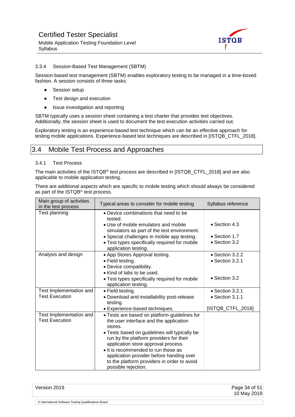

#### <span id="page-33-0"></span>3.3.4 Session-Based Test Management (SBTM)

Session-based test management (SBTM) enables exploratory testing to be managed in a time-boxed fashion. A session consists of three tasks:

- Session setup
- Test design and execution
- Issue investigation and reporting

SBTM typically uses a session sheet containing a test charter that provides test objectives. Additionally, the session sheet is used to document the test execution activities carried out.

Exploratory testing is an experience-based test technique which can be an effective approach for testing mobile applications. Experience-based test techniques are described in [ISTQB\_CTFL\_2018].

### <span id="page-33-1"></span>3.4 Mobile Test Process and Approaches

#### <span id="page-33-2"></span>3.4.1 Test Process

The main activities of the ISTQB® test process are described in [ISTQB\_CTFL\_2018] and are also applicable to mobile application testing.

There are additional aspects which are specific to mobile testing which should always be considered as part of the ISTQB® test process.

| Main group of activities<br>in the test process  | Typical areas to consider for mobile testing                                                                                                          | Syllabus reference      |
|--------------------------------------------------|-------------------------------------------------------------------------------------------------------------------------------------------------------|-------------------------|
| Test planning                                    | • Device combinations that need to be<br>tested.                                                                                                      |                         |
|                                                  | • Use of mobile emulators and mobile<br>simulators as part of the test environment.                                                                   | $\bullet$ Section 4.3   |
|                                                  | • Special challenges in mobile app testing.                                                                                                           | $\bullet$ Section 1.7   |
|                                                  | • Test types specifically required for mobile<br>application testing.                                                                                 | • Section 3.2           |
| Analysis and design                              | • App Stores Approval testing.                                                                                                                        | $\bullet$ Section 3.2.2 |
|                                                  | • Field testing.                                                                                                                                      | $\bullet$ Section 3.2.1 |
|                                                  | • Device compatibility.                                                                                                                               |                         |
|                                                  | • Kind of labs to be used.                                                                                                                            |                         |
|                                                  | • Test types specifically required for mobile                                                                                                         | • Section 3.2           |
|                                                  | application testing.                                                                                                                                  |                         |
| Test Implementation and                          | • Field testing.                                                                                                                                      | • Section 3.2.1         |
| <b>Test Execution</b>                            | . Download and installability post-release<br>testing.                                                                                                | • Section 3.1.1         |
|                                                  | • Experience-based techniques.                                                                                                                        | [ISTQB_CTFL_2018]       |
| Test Implementation and<br><b>Test Execution</b> | • Tests are based on platform-guidelines for<br>the user interface and the application<br>stores.<br>• Tests based on guidelines will typically be    |                         |
|                                                  | run by the platform providers for their<br>application store approval process.                                                                        |                         |
|                                                  | • It is recommended to run these as<br>application provider before handing over<br>to the platform providers in order to avoid<br>possible rejection. |                         |

| Version 2019                                          | Page 34 of 51 |
|-------------------------------------------------------|---------------|
|                                                       | 10 May 2019   |
|                                                       |               |
| © International Software Testing Qualifications Board |               |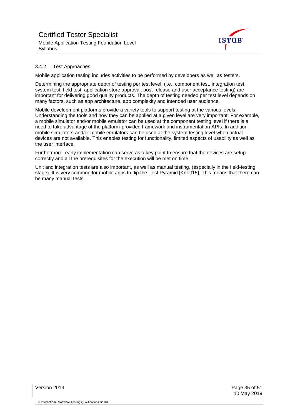

#### <span id="page-34-0"></span>3.4.2 Test Approaches

Mobile application testing includes activities to be performed by developers as well as testers.

Determining the appropriate depth of testing per test level, (i.e., component test, integration test, system test, field test, application store approval, post-release and user acceptance testing) are important for delivering good quality products. The depth of testing needed per test level depends on many factors, such as app architecture, app complexity and intended user audience.

Mobile development platforms provide a variety tools to support testing at the various levels. Understanding the tools and how they can be applied at a given level are very important. For example, a mobile simulator and/or mobile emulator can be used at the component testing level if there is a need to take advantage of the platform-provided framework and instrumentation APIs. In addition, mobile simulators and/or mobile emulators can be used at the system testing level when actual devices are not available. This enables testing for functionality, limited aspects of usability as well as the user interface.

Furthermore, early implementation can serve as a key point to ensure that the devices are setup correctly and all the prerequisites for the execution will be met on time.

Unit and integration tests are also important, as well as manual testing, (especially in the field-testing stage). It is very common for mobile apps to flip the Test Pyramid [Knott15]. This means that there can be many manual tests.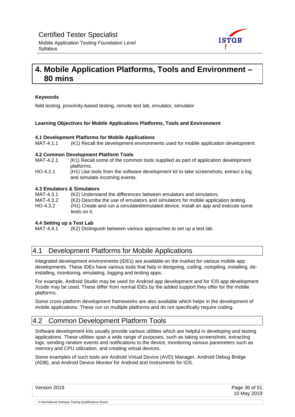

## <span id="page-35-0"></span>**4. Mobile Application Platforms, Tools and Environment – 80 mins**

#### **Keywords**

field testing, proximity-based testing, remote test lab, emulator, simulator

#### **Learning Objectives for Mobile Applications Platforms, Tools and Environment**

#### **4.1 Development Platforms for Mobile Applications**

MAT-4.1.1 (K1) Recall the development environments used for mobile application development.

#### **4.2 Common Development Platform Tools**

- MAT-4.2.1 (K1) Recall some of the common tools supplied as part of application development platforms.
- HO-4.2.1 (H1) Use tools from the software development kit to take screenshots, extract a log and simulate incoming events.

#### **4.3 Emulators & Simulators**

MAT-4.3.1 (K2) Understand the differences between emulators and simulators. MAT-4.3.2 (K2) Describe the use of emulators and simulators for mobile application testing. HO-4.3.2 (H1) Create and run a simulated/emulated device, install an app and execute some tests on it.

## **4.4 Setting up a Test Lab**

(K2) Distinguish between various approaches to set up a test lab.

### <span id="page-35-1"></span>4.1 Development Platforms for Mobile Applications

Integrated development environments (IDEs) are available on the market for various mobile app developments. These IDEs have various tools that help in designing, coding, compiling, installing, deinstalling, monitoring, emulating, logging and testing apps.

For example, Android Studio may be used for Android app development and for iOS app development Xcode may be used. These differ from normal IDEs by the added support they offer for the mobile platforms.

Some cross-platform development frameworks are also available which helps in the development of mobile applications. These run on multiple platforms and do not specifically require coding.

### <span id="page-35-2"></span>4.2 Common Development Platform Tools

Software development kits usually provide various utilities which are helpful in developing and testing applications. These utilities span a wide range of purposes, such as taking screenshots, extracting logs, sending random events and notifications to the device, monitoring various parameters such as memory and CPU utilization, and creating virtual devices.

Some examples of such tools are Android Virtual Device (AVD) Manager, Android Debug Bridge (ADB), and Android Device Monitor for Android and Instruments for iOS.

Version 2019 Page 36 of 51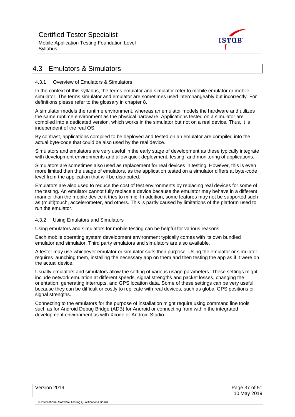Mobile Application Testing Foundation Level **Syllabus** 



## <span id="page-36-0"></span>4.3 Emulators & Simulators

#### <span id="page-36-1"></span>4.3.1 Overview of Emulators & Simulators

In the context of this syllabus, the terms emulator and simulator refer to mobile emulator or mobile simulator. The terms simulator and emulator are sometimes used interchangeably but incorrectly. For definitions please refer to the glossary in chapter 8.

A simulator models the runtime environment, whereas an emulator models the hardware and utilizes the same runtime environment as the physical hardware. Applications tested on a simulator are compiled into a dedicated version, which works in the simulator but not on a real device. Thus, it is independent of the real OS.

By contrast, applications compiled to be deployed and tested on an emulator are compiled into the actual byte-code that could be also used by the real device.

Simulators and emulators are very useful in the early stage of development as these typically integrate with development environments and allow quick deployment, testing, and monitoring of applications.

Simulators are sometimes also used as replacement for real devices in testing. However, this is even more limited than the usage of emulators, as the application tested on a simulator differs at byte-code level from the application that will be distributed.

Emulators are also used to reduce the cost of test environments by replacing real devices for some of the testing. An emulator cannot fully replace a device because the emulator may behave in a different manner than the mobile device it tries to mimic. In addition, some features may not be supported such as (multi)touch, accelerometer, and others. This is partly caused by limitations of the platform used to run the emulator.

#### <span id="page-36-2"></span>4.3.2 Using Emulators and Simulators

Using emulators and simulators for mobile testing can be helpful for various reasons.

Each mobile operating system development environment typically comes with its own bundled emulator and simulator. Third party emulators and simulators are also available.

A tester may use whichever emulator or simulator suits their purpose. Using the emulator or simulator requires launching them, installing the necessary app on them and then testing the app as if it were on the actual device.

Usually emulators and simulators allow the setting of various usage parameters. These settings might include network emulation at different speeds, signal strengths and packet losses, changing the orientation, generating interrupts, and GPS location data. Some of these settings can be very useful because they can be difficult or costly to replicate with real devices, such as global GPS positions or signal strengths.

Connecting to the emulators for the purpose of installation might require using command line tools such as for Android Debug Bridge (ADB) for Android or connecting from within the integrated development environment as with Xcode or Android Studio.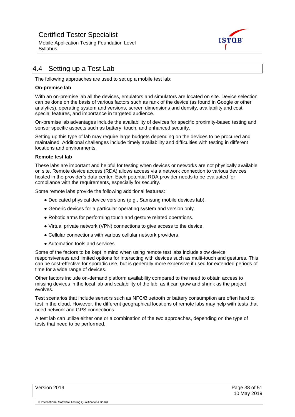Mobile Application Testing Foundation Level **Syllabus** 



## <span id="page-37-0"></span>4.4 Setting up a Test Lab

The following approaches are used to set up a mobile test lab:

#### **On-premise lab**

With an on-premise lab all the devices, emulators and simulators are located on site. Device selection can be done on the basis of various factors such as rank of the device (as found in Google or other analytics), operating system and versions, screen dimensions and density, availability and cost, special features, and importance in targeted audience.

On-premise lab advantages include the availability of devices for specific proximity-based testing and sensor specific aspects such as battery, touch, and enhanced security.

Setting up this type of lab may require large budgets depending on the devices to be procured and maintained. Additional challenges include timely availability and difficulties with testing in different locations and environments.

#### **Remote test lab**

These labs are important and helpful for testing when devices or networks are not physically available on site. Remote device access (RDA) allows access via a network connection to various devices hosted in the provider's data center. Each potential RDA provider needs to be evaluated for compliance with the requirements, especially for security.

Some remote labs provide the following additional features:

- Dedicated physical device versions (e.g., Samsung mobile devices lab).
- Generic devices for a particular operating system and version only.
- Robotic arms for performing touch and gesture related operations.
- Virtual private network (VPN) connections to give access to the device.
- Cellular connections with various cellular network providers.
- Automation tools and services.

Some of the factors to be kept in mind when using remote test labs include slow device responsiveness and limited options for interacting with devices such as multi-touch and gestures. This can be cost-effective for sporadic use, but is generally more expensive if used for extended periods of time for a wide range of devices.

Other factors include on-demand platform availability compared to the need to obtain access to missing devices in the local lab and scalability of the lab, as it can grow and shrink as the project evolves.

Test scenarios that include sensors such as NFC/Bluetooth or battery consumption are often hard to test in the cloud. However, the different geographical locations of remote labs may help with tests that need network and GPS connections.

A test lab can utilize either one or a combination of the two approaches, depending on the type of tests that need to be performed.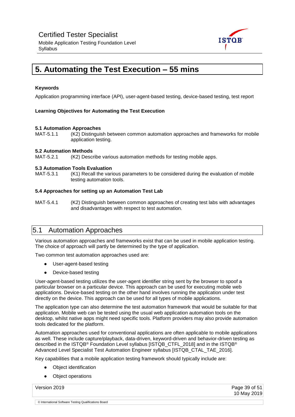

## <span id="page-38-0"></span>**5. Automating the Test Execution – 55 mins**

#### **Keywords**

Application programming interface (API), user-agent-based testing, device-based testing, test report

#### **Learning Objectives for Automating the Test Execution**

#### **5.1 Automation Approaches**

MAT-5.1.1 (K2) Distinguish between common automation approaches and frameworks for mobile application testing.

#### **5.2 Automation Methods**

MAT-5.2.1 (K2) Describe various automation methods for testing mobile apps.

#### **5.3 Automation Tools Evaluation**

MAT-5.3.1 (K1) Recall the various parameters to be considered during the evaluation of mobile testing automation tools.

#### **5.4 Approaches for setting up an Automation Test Lab**

MAT-5.4.1 (K2) Distinguish between common approaches of creating test labs with advantages and disadvantages with respect to test automation.

### <span id="page-38-1"></span>5.1 Automation Approaches

Various automation approaches and frameworks exist that can be used in mobile application testing. The choice of approach will partly be determined by the type of application.

Two common test automation approaches used are:

- User-agent-based testing
- Device-based testing

User-agent-based testing utilizes the user-agent identifier string sent by the browser to spoof a particular browser on a particular device. This approach can be used for executing mobile web applications. Device-based testing on the other hand involves running the application under test directly on the device. This approach can be used for all types of mobile applications.

The application type can also determine the test automation framework that would be suitable for that application. Mobile web can be tested using the usual web application automation tools on the desktop, whilst native apps might need specific tools. Platform providers may also provide automation tools dedicated for the platform.

Automation approaches used for conventional applications are often applicable to mobile applications as well. These include capture/playback, data-driven, keyword-driven and behavior-driven testing as described in the ISTQB® Foundation Level syllabus [ISTQB\_CTFL\_2018] and in the ISTQB® Advanced Level Specialist Test Automation Engineer syllabus [ISTQB\_CTAL\_TAE\_2016].

Key capabilities that a mobile application testing framework should typically include are:

- **Object identification**
- Object operations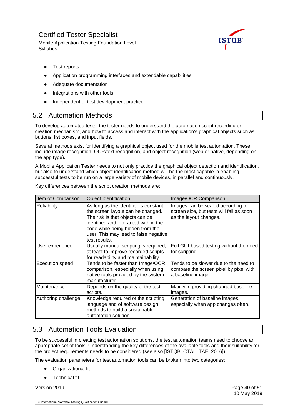Mobile Application Testing Foundation Level **Syllabus** 



- Test reports
- Application programming interfaces and extendable capabilities
- Adequate documentation
- Integrations with other tools
- Independent of test development practice

### <span id="page-39-0"></span>5.2 Automation Methods

To develop automated tests, the tester needs to understand the automation script recording or creation mechanism, and how to access and interact with the application's graphical objects such as buttons, list boxes, and input fields.

Several methods exist for identifying a graphical object used for the mobile test automation. These include image recognition, OCR/text recognition, and object recognition (web or native, depending on the app type).

A Mobile Application Tester needs to not only practice the graphical object detection and identification, but also to understand which object identification method will be the most capable in enabling successful tests to be run on a large variety of mobile devices, in parallel and continuously.

| Item of Comparison     | <b>Object Identification</b>                                                                                                                                                                                                                         | Image/OCR Comparison                                                                                    |
|------------------------|------------------------------------------------------------------------------------------------------------------------------------------------------------------------------------------------------------------------------------------------------|---------------------------------------------------------------------------------------------------------|
| Reliability            | As long as the identifier is constant<br>the screen layout can be changed.<br>The risk is that objects can be<br>identified and interacted with in the<br>code while being hidden from the<br>user. This may lead to false negative<br>test results. | Images can be scaled according to<br>screen size, but tests will fail as soon<br>as the layout changes. |
| User experience        | Usually manual scripting is required,<br>at least to improve recorded scripts<br>for readability and maintainability.                                                                                                                                | Full GUI-based testing without the need<br>for scripting.                                               |
| <b>Execution speed</b> | Tends to be faster than Image/OCR<br>comparison, especially when using<br>native tools provided by the system<br>manufacturer.                                                                                                                       | Tends to be slower due to the need to<br>compare the screen pixel by pixel with<br>a baseline image.    |
| Maintenance            | Depends on the quality of the test<br>scripts.                                                                                                                                                                                                       | Mainly in providing changed baseline<br>images.                                                         |
| Authoring challenge    | Knowledge required of the scripting<br>language and of software design<br>methods to build a sustainable<br>automation solution.                                                                                                                     | Generation of baseline images,<br>especially when app changes often.                                    |

Key differences between the script creation methods are:

## <span id="page-39-1"></span>5.3 Automation Tools Evaluation

To be successful in creating test automation solutions, the test automation teams need to choose an appropriate set of tools. Understanding the key differences of the available tools and their suitability for the project requirements needs to be considered (see also [ISTQB\_CTAL\_TAE\_2016]).

The evaluation parameters for test automation tools can be broken into two categories:

- Organizational fit
- **Technical fit**

Version 2019 Page 40 of 51 10 May 2019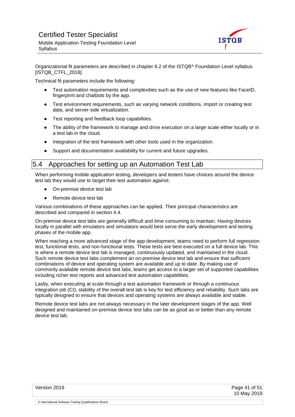

Organizational fit parameters are described in chapter 6.2 of the ISTQB® Foundation Level syllabus [ISTQB\_CTFL\_2018].

Technical fit parameters include the following:

- Test automation requirements and complexities such as the use of new features like FaceID, fingerprint and chatbots by the app.
- Test environment requirements, such as varying network conditions, import or creating test data, and server-side virtualization.
- Test reporting and feedback loop capabilities.
- The ability of the framework to manage and drive execution on a large scale either locally or in a test lab in the cloud.
- Integration of the test framework with other tools used in the organization.
- Support and documentation availability for current and future upgrades.

### <span id="page-40-0"></span>5.4 Approaches for setting up an Automation Test Lab

When performing mobile application testing, developers and testers have choices around the device test lab they would use to target their test automation against.

- On-premise device test lab
- Remote device test lab

Various combinations of these approaches can be applied. Their principal characteristics are described and compared in section 4.4.

On-premise device test labs are generally difficult and time consuming to maintain. Having devices locally in parallel with emulators and simulators would best serve the early development and testing phases of the mobile app.

When reaching a more advanced stage of the app development, teams need to perform full regression test, functional tests, and non-functional tests. These tests are best executed on a full device lab. This is where a remote device test lab is managed, continuously updated, and maintained in the cloud. Such remote device test labs complement an on-premise device test lab and ensure that sufficient combinations of device and operating system are available and up to date. By making use of commonly available remote device test labs, teams get access to a larger set of supported capabilities including richer test reports and advanced test automation capabilities.

Lastly, when executing at scale through a test automation framework or through a continuous integration job (CI), stability of the overall test lab is key for test efficiency and reliability. Such labs are typically designed to ensure that devices and operating systems are always available and stable.

Remote device test labs are not always necessary in the later development stages of the app. Well designed and maintained on-premise device test labs can be as good as or better than any remote device test lab.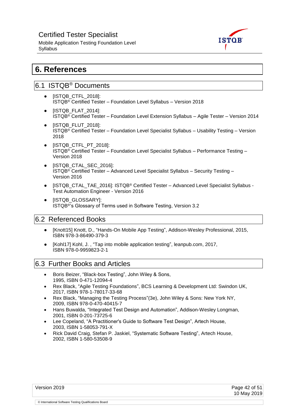Mobile Application Testing Foundation Level **Syllabus** 



## <span id="page-41-0"></span>**6. References**

## <span id="page-41-1"></span>6.1 ISTQB® Documents

- [ISTQB\_CTFL\_2018]: ISTQB® Certified Tester – Foundation Level Syllabus – Version 2018
- [ISTQB\_FLAT\_2014]: ISTQB® Certified Tester – Foundation Level Extension Syllabus – Agile Tester – Version 2014
- [ISTQB\_FLUT\_2018]: ISTQB® Certified Tester – Foundation Level Specialist Syllabus – Usability Testing – Version 2018
- [ISTQB\_CTFL\_PT\_2018]: ISTQB® Certified Tester – Foundation Level Specialist Syllabus – Performance Testing – Version 2018
- [ISTQB\_CTAL\_SEC\_2016]: ISTQB® Certified Tester – Advanced Level Specialist Syllabus – Security Testing – Version 2016
- [ISTQB\_CTAL\_TAE\_2016]: ISTQB<sup>®</sup> Certified Tester Advanced Level Specialist Syllabus -Test Automation Engineer - Version 2016
- [ISTQB\_GLOSSARY]: ISTQB®'s Glossary of Terms used in Software Testing, Version 3.2

## <span id="page-41-2"></span>6.2 Referenced Books

- [Knott15] Knott, D., "Hands-On Mobile App Testing", Addison-Wesley Professional, 2015, ISBN 978-3-86490-379-3
- [Kohl17] Kohl, J. , "Tap into mobile application testing", leanpub.com, 2017, ISBN 978-0-9959823-2-1

## <span id="page-41-3"></span>6.3 Further Books and Articles

- Boris Beizer, "Black-box Testing", John Wiley & Sons, 1995, ISBN 0-471-12094-4
- Rex Black, "Agile Testing Foundations", BCS Learning & Development Ltd: Swindon UK, 2017, ISBN 978-1-78017-33-68
- Rex Black, "Managing the Testing Process"(3e), John Wiley & Sons: New York NY, 2009, ISBN 978-0-470-40415-7
- Hans Buwalda, "Integrated Test Design and Automation", Addison-Wesley Longman, 2001, ISBN 0-201-73725-6
- Lee Copeland, "A Practitioner's Guide to Software Test Design", Artech House, 2003, ISBN 1-58053-791-X
- Rick David Craig, Stefan P. Jaskiel, "Systematic Software Testing", Artech House, 2002, ISBN 1-580-53508-9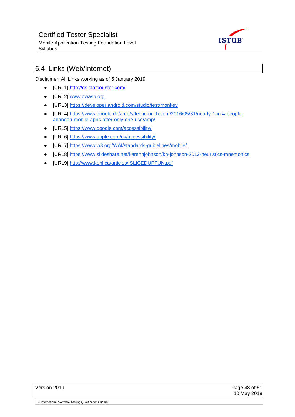Mobile Application Testing Foundation Level Syllabus



## <span id="page-42-0"></span>6.4 Links (Web/Internet)

Disclaimer: All Links working as of 5 January 2019

- [URL1]<http://gs.statcounter.com/>
- [URL2] [www.owasp.org](http://www.owasp.org/)
- [URL3]<https://developer.android.com/studio/test/monkey>
- [URL4] [https://www.google.de/amp/s/techcrunch.com/2016/05/31/nearly-1-in-4-people](https://www.google.de/amp/s/techcrunch.com/2016/05/31/nearly-1-in-4-people-abandon-mobile-apps-after-only-one-use/amp/)[abandon-mobile-apps-after-only-one-use/amp/](https://www.google.de/amp/s/techcrunch.com/2016/05/31/nearly-1-in-4-people-abandon-mobile-apps-after-only-one-use/amp/)
- [URL5]<https://www.google.com/accessibility/>
- [URL6]<https://www.apple.com/uk/accessibility/>
- [URL7]<https://www.w3.org/WAI/standards-guidelines/mobile/>
- [URL8]<https://www.slideshare.net/karennjohnson/kn-johnson-2012-heuristics-mnemonics>
- [URL9]<http://www.kohl.ca/articles/ISLICEDUPFUN.pdf>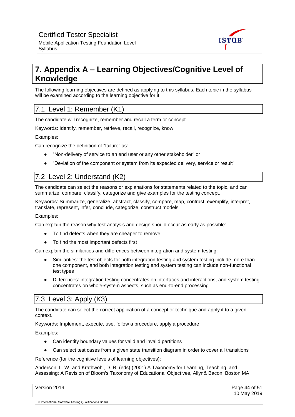

## <span id="page-43-0"></span>**7. Appendix A – Learning Objectives/Cognitive Level of Knowledge**

The following learning objectives are defined as applying to this syllabus. Each topic in the syllabus will be examined according to the learning objective for it.

## <span id="page-43-1"></span>7.1 Level 1: Remember (K1)

The candidate will recognize, remember and recall a term or concept.

Keywords: Identify, remember, retrieve, recall, recognize, know

Examples:

Syllabus

Can recognize the definition of "failure" as:

- "Non-delivery of service to an end user or any other stakeholder" or
- "Deviation of the component or system from its expected delivery, service or result"

## <span id="page-43-2"></span>7.2 Level 2: Understand (K2)

The candidate can select the reasons or explanations for statements related to the topic, and can summarize, compare, classify, categorize and give examples for the testing concept.

Keywords: Summarize, generalize, abstract, classify, compare, map, contrast, exemplify, interpret, translate, represent, infer, conclude, categorize, construct models

Examples:

Can explain the reason why test analysis and design should occur as early as possible:

- To find defects when they are cheaper to remove
- To find the most important defects first

Can explain the similarities and differences between integration and system testing:

- Similarities: the test objects for both integration testing and system testing include more than one component, and both integration testing and system testing can include non-functional test types
- Differences: integration testing concentrates on interfaces and interactions, and system testing concentrates on whole-system aspects, such as end-to-end processing

## <span id="page-43-3"></span>7.3 Level 3: Apply (K3)

© International Software Testing Qualifications Board

The candidate can select the correct application of a concept or technique and apply it to a given context.

Keywords: Implement, execute, use, follow a procedure, apply a procedure

Examples:

- Can identify boundary values for valid and invalid partitions
- Can select test cases from a given state transition diagram in order to cover all transitions

Reference (for the cognitive levels of learning objectives):

Anderson, L. W. and Krathwohl, D. R. (eds) (2001) A Taxonomy for Learning, Teaching, and Assessing: A Revision of Bloom's Taxonomy of Educational Objectives, Allyn& Bacon: Boston MA

| Version 2019 | Page 44 of 51 |
|--------------|---------------|
|              | 10 May 2019   |
|              |               |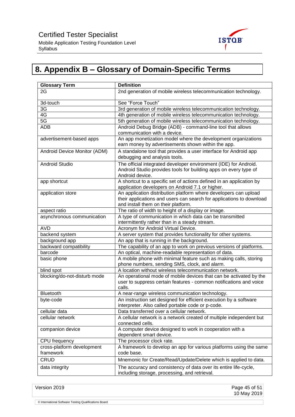

## <span id="page-44-0"></span>**8. Appendix B – Glossary of Domain-Specific Terms**

| <b>Glossary Term</b>                    | <b>Definition</b>                                                                                                                                                               |
|-----------------------------------------|---------------------------------------------------------------------------------------------------------------------------------------------------------------------------------|
| 2G                                      | 2nd generation of mobile wireless telecommunication technology.                                                                                                                 |
| 3d-touch                                | See "Force Touch"                                                                                                                                                               |
| 3G                                      | 3rd generation of mobile wireless telecommunication technology.                                                                                                                 |
| 4G                                      | 4th generation of mobile wireless telecommunication technology.                                                                                                                 |
| 5G                                      | 5th generation of mobile wireless telecommunication technology.                                                                                                                 |
| <b>ADB</b>                              | Android Debug Bridge (ADB) - command-line tool that allows<br>communication with a device.                                                                                      |
| advertisement-based apps                | An app monetization model where the development organizations<br>earn money by advertisements shown within the app.                                                             |
| Android Device Monitor (ADM)            | A standalone tool that provides a user interface for Android app<br>debugging and analysis tools.                                                                               |
| <b>Android Studio</b>                   | The official integrated developer environment (IDE) for Android.<br>Android Studio provides tools for building apps on every type of<br>Android device.                         |
| app shortcut                            | A shortcut to a specific set of actions defined in an application by<br>application developers on Android 7.1 or higher.                                                        |
| application store                       | An application distribution platform where developers can upload<br>their applications and users can search for applications to download<br>and install them on their platform. |
| aspect ratio                            | The ratio of width to height of a display or image.                                                                                                                             |
| asynchronous communication              | A type of communication in which data can be transmitted<br>intermittently rather than in a steady stream.                                                                      |
| <b>AVD</b>                              | Acronym for Android Virtual Device.                                                                                                                                             |
| backend system                          | A server system that provides functionality for other systems.                                                                                                                  |
| background app                          | An app that is running in the background.                                                                                                                                       |
| backward compatibility                  | The capability of an app to work on previous versions of platforms.                                                                                                             |
| barcode                                 | An optical, machine-readable representation of data.                                                                                                                            |
| basic phone                             | A mobile phone with minimal feature such as making calls, storing<br>phone numbers, sending SMS, clock, and alarm.                                                              |
| blind spot                              | A location without wireless telecommunication network.                                                                                                                          |
| blocking/do-not-disturb mode            | An operational mode of mobile devices that can be activated by the<br>user to suppress certain features - common notifications and voice<br>calls.                              |
| Bluetooth                               | A near-range wireless communication technology.                                                                                                                                 |
| byte-code                               | An instruction set designed for efficient execution by a software<br>interpreter. Also called portable code or p-code.                                                          |
| cellular data                           | Data transferred over a cellular network.                                                                                                                                       |
| cellular network                        | A cellular network is a network created of multiple independent but<br>connected cells.                                                                                         |
| companion device                        | A computer device designed to work in cooperation with a<br>dependent smart device.                                                                                             |
| CPU frequency                           | The processor clock rate.                                                                                                                                                       |
| cross-platform development<br>framework | A framework to develop an app for various platforms using the same<br>code base.                                                                                                |
| <b>CRUD</b>                             | Mnemonic for Create/Read/Update/Delete which is applied to data.                                                                                                                |
| data integrity                          | The accuracy and consistency of data over its entire life-cycle,<br>including storage, processing, and retrieval.                                                               |

Version 2019 Page 45 of 51 10 May 2019 © International Software Testing Qualifications Board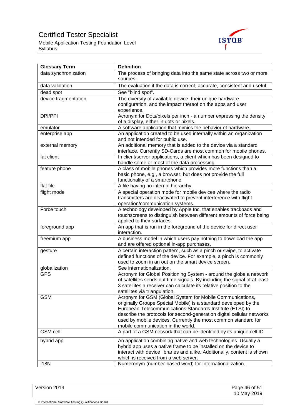Mobile Application Testing Foundation Level Syllabus



| <b>Glossary Term</b> | <b>Definition</b>                                                                                                                                                                                                                                                                                                                                                            |
|----------------------|------------------------------------------------------------------------------------------------------------------------------------------------------------------------------------------------------------------------------------------------------------------------------------------------------------------------------------------------------------------------------|
| data synchronization | The process of bringing data into the same state across two or more<br>sources.                                                                                                                                                                                                                                                                                              |
| data validation      | The evaluation if the data is correct, accurate, consistent and useful.                                                                                                                                                                                                                                                                                                      |
| dead spot            | See "blind spot".                                                                                                                                                                                                                                                                                                                                                            |
| device fragmentation | The diversity of available device, their unique hardware                                                                                                                                                                                                                                                                                                                     |
|                      | configuration, and the impact thereof on the apps and user<br>experience.                                                                                                                                                                                                                                                                                                    |
| DPI/PPI              | Acronym for Dots/pixels per inch - a number expressing the density<br>of a display, either in dots or pixels.                                                                                                                                                                                                                                                                |
| emulator             | A software application that mimics the behavior of hardware.                                                                                                                                                                                                                                                                                                                 |
| enterprise app       | An application created to be used internally within an organization<br>and not intended for public use.                                                                                                                                                                                                                                                                      |
| external memory      | An additional memory that is added to the device via a standard<br>interface. Currently SD-Cards are most common for mobile phones.                                                                                                                                                                                                                                          |
| fat client           | In client/server applications, a client which has been designed to<br>handle some or most of the data processing.                                                                                                                                                                                                                                                            |
| feature phone        | A class of mobile phones which provides more functions than a<br>basic phone, e.g., a browser, but does not provide the full<br>functionality of a smartphone.                                                                                                                                                                                                               |
| flat file            | A file having no internal hierarchy.                                                                                                                                                                                                                                                                                                                                         |
| flight mode          | A special operation mode for mobile devices where the radio<br>transmitters are deactivated to prevent interference with flight<br>operation/communication systems.                                                                                                                                                                                                          |
| Force touch          | A technology developed by Apple Inc. that enables trackpads and<br>touchscreens to distinguish between different amounts of force being<br>applied to their surfaces.                                                                                                                                                                                                        |
| foreground app       | An app that is run in the foreground of the device for direct user<br>interaction.                                                                                                                                                                                                                                                                                           |
| freemium app         | A business model in which users pay nothing to download the app<br>and are offered optional in-app purchases.                                                                                                                                                                                                                                                                |
| gesture              | A certain interaction pattern, such as a pinch or swipe, to activate<br>defined functions of the device. For example, a pinch is commonly<br>used to zoom in an out on the smart device screen.                                                                                                                                                                              |
| globalization        | See internationalization.                                                                                                                                                                                                                                                                                                                                                    |
| <b>GPS</b>           | Acronym for Global Positioning System - around the globe a network<br>of satellites sends out time signals. By including the signal of at least<br>3 satellites a receiver can calculate its relative position to the<br>satellites via triangulation.                                                                                                                       |
| <b>GSM</b>           | Acronym for GSM (Global System for Mobile Communications,<br>originally Groupe Spécial Mobile) is a standard developed by the<br>European Telecommunications Standards Institute (ETSI) to<br>describe the protocols for second-generation digital cellular networks<br>used by mobile devices. Currently the most common standard for<br>mobile communication in the world. |
| <b>GSM</b> cell      | A part of a GSM network that can be identified by its unique cell ID                                                                                                                                                                                                                                                                                                         |
| hybrid app           | An application combining native and web technologies. Usually a<br>hybrid app uses a native frame to be installed on the device to<br>interact with device libraries and alike. Additionally, content is shown<br>which is received from a web server.                                                                                                                       |
| <b>I18N</b>          | Numeronym (number-based word) for Internationalization.                                                                                                                                                                                                                                                                                                                      |

Version 2019 Page 46 of 51 10 May 2019 © International Software Testing Qualifications Board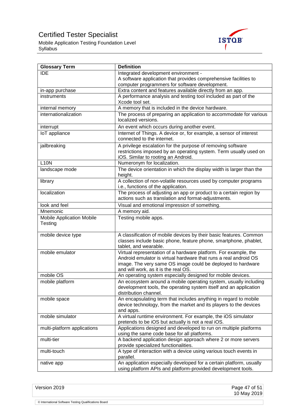Mobile Application Testing Foundation Level Syllabus



| <b>Glossary Term</b>                        | <b>Definition</b>                                                                                                                                                                                                                          |
|---------------------------------------------|--------------------------------------------------------------------------------------------------------------------------------------------------------------------------------------------------------------------------------------------|
| <b>IDE</b>                                  | Integrated development environment -                                                                                                                                                                                                       |
|                                             | A software application that provides comprehensive facilities to                                                                                                                                                                           |
|                                             | computer programmers for software development.                                                                                                                                                                                             |
| in-app purchase                             | Extra content and features available directly from an app.                                                                                                                                                                                 |
| instruments                                 | A performance analysis and testing tool included as part of the<br>Xcode tool set.                                                                                                                                                         |
| internal memory                             | A memory that is included in the device hardware.                                                                                                                                                                                          |
| internationalization                        | The process of preparing an application to accommodate for various<br>localized versions.                                                                                                                                                  |
| interrupt                                   | An event which occurs during another event.                                                                                                                                                                                                |
| <b>IoT</b> appliance                        | Internet of Things. A device or, for example, a sensor of interest<br>connected to the internet.                                                                                                                                           |
| jailbreaking                                | A privilege escalation for the purpose of removing software                                                                                                                                                                                |
|                                             | restrictions imposed by an operating system. Term usually used on<br>iOS. Similar to rooting an Android.                                                                                                                                   |
| <b>L10N</b>                                 | Numeronym for localization.                                                                                                                                                                                                                |
| landscape mode                              | The device orientation in which the display width is larger than the<br>height.                                                                                                                                                            |
| library                                     | A collection of non-volatile resources used by computer programs<br>i.e., functions of the application.                                                                                                                                    |
| localization                                | The process of adjusting an app or product to a certain region by<br>actions such as translation and format-adjustments.                                                                                                                   |
| look and feel                               | Visual and emotional impression of something.                                                                                                                                                                                              |
| Mnemonic                                    | A memory aid.                                                                                                                                                                                                                              |
| <b>Mobile Application Mobile</b><br>Testing | Testing mobile apps.                                                                                                                                                                                                                       |
| mobile device type                          | A classification of mobile devices by their basic features. Common<br>classes include basic phone, feature phone, smartphone, phablet,<br>tablet, and wearable.                                                                            |
| mobile emulator                             | Virtual representation of a hardware platform. For example, the<br>Android emulator is virtual hardware that runs a real android OS<br>image. The very same OS image could be deployed to hardware<br>and will work, as it is the real OS. |
| mobile OS                                   | An operating system especially designed for mobile devices.                                                                                                                                                                                |
| mobile platform                             | An ecosystem around a mobile operating system, usually including<br>development tools, the operating system itself and an application<br>distribution channel.                                                                             |
| mobile space                                | An encapsulating term that includes anything in regard to mobile<br>device technology, from the market and its players to the devices<br>and apps.                                                                                         |
| mobile simulator                            | A virtual runtime environment. For example, the iOS simulator<br>pretends to be iOS but actually is not a real iOS.                                                                                                                        |
| multi-platform applications                 | Applications designed and developed to run on multiple platforms<br>using the same code base for all platforms.                                                                                                                            |
| multi-tier                                  | A backend application design approach where 2 or more servers<br>provide specialized functionalities.                                                                                                                                      |
| multi-touch                                 | A type of interaction with a device using various touch events in<br>parallel.                                                                                                                                                             |
| native app                                  | An application especially developed for a certain platform, usually<br>using platform APIs and platform-provided development tools.                                                                                                        |

Version 2019 Page 47 of 51

10 May 2019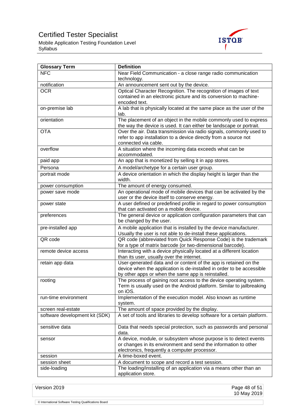Mobile Application Testing Foundation Level Syllabus



| <b>Glossary Term</b>           | <b>Definition</b>                                                                                                                                                                               |
|--------------------------------|-------------------------------------------------------------------------------------------------------------------------------------------------------------------------------------------------|
| <b>NFC</b>                     | Near Field Communication - a close range radio communication                                                                                                                                    |
|                                | technology.                                                                                                                                                                                     |
| notification                   | An announcement sent out by the device.                                                                                                                                                         |
| <b>OCR</b>                     | Optical Character Recognition. The recognition of images of text<br>contained in an electronic picture and its conversion to machine-<br>encoded text.                                          |
| on-premise lab                 | A lab that is physically located at the same place as the user of the<br>lab.                                                                                                                   |
| orientation                    | The placement of an object in the mobile commonly used to express<br>the way the device is used. It can either be landscape or portrait.                                                        |
| <b>OTA</b>                     | Over the air. Data transmission via radio signals, commonly used to<br>refer to app installation to a device directly from a source not<br>connected via cable.                                 |
| overflow                       | A situation where the incoming data exceeds what can be<br>accommodated.                                                                                                                        |
| paid app                       | An app that is monetized by selling it in app stores.                                                                                                                                           |
| Persona                        | A model/archetype for a certain user group.                                                                                                                                                     |
| portrait mode                  | A device orientation in which the display height is larger than the<br>width.                                                                                                                   |
| power consumption              | The amount of energy consumed.                                                                                                                                                                  |
| power save mode                | An operational mode of mobile devices that can be activated by the                                                                                                                              |
|                                | user or the device itself to conserve energy.                                                                                                                                                   |
| power state                    | A user defined or predefined profile in regard to power consumption<br>that can activated on a mobile device.                                                                                   |
| preferences                    | The general device or application configuration parameters that can<br>be changed by the user.                                                                                                  |
| pre-installed app              | A mobile application that is installed by the device manufacturer.<br>Usually the user is not able to de-install these applications.                                                            |
| QR code                        | QR code (abbreviated from Quick Response Code) is the trademark<br>for a type of matrix barcode (or two-dimensional barcode).                                                                   |
| remote device access           | Interacting with a device physically located at a different location<br>than its user, usually over the internet.                                                                               |
| retain app data                | User-generated data and or content of the app is retained on the<br>device when the application is de-installed in order to be accessible<br>by other apps or when the same app is reinstalled. |
| rooting                        | The process of gaining root access to the device operating system.<br>Term is usually used on the Android platform. Similar to jailbreaking<br>on iOS.                                          |
| run-time environment           | Implementation of the execution model. Also known as runtime<br>system.                                                                                                                         |
| screen real-estate             | The amount of space provided by the display.                                                                                                                                                    |
| software development kit (SDK) | A set of tools and libraries to develop software for a certain platform.                                                                                                                        |
| sensitive data                 | Data that needs special protection, such as passwords and personal<br>data.                                                                                                                     |
| sensor                         | A device, module, or subsystem whose purpose is to detect events<br>or changes in its environment and send the information to other<br>electronics, frequently a computer processor.            |
| session                        | A time-boxed event.                                                                                                                                                                             |
| session sheet                  | A document to scope and record a test session.                                                                                                                                                  |
| side-loading                   | The loading/installing of an application via a means other than an<br>application store.                                                                                                        |

Version 2019 Page 48 of 51 10 May 2019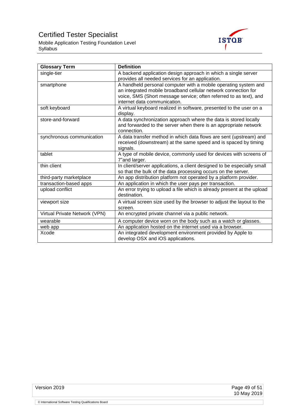Mobile Application Testing Foundation Level Syllabus



| <b>Glossary Term</b>          | <b>Definition</b>                                                                                                                                                                                                                       |
|-------------------------------|-----------------------------------------------------------------------------------------------------------------------------------------------------------------------------------------------------------------------------------------|
| single-tier                   | A backend application design approach in which a single server<br>provides all needed services for an application.                                                                                                                      |
| smartphone                    | A handheld personal computer with a mobile operating system and<br>an integrated mobile broadband cellular network connection for<br>voice, SMS (Short message service; often referred to as text), and<br>internet data communication. |
| soft keyboard                 | A virtual keyboard realized in software, presented to the user on a<br>display.                                                                                                                                                         |
| store-and-forward             | A data synchronization approach where the data is stored locally<br>and forwarded to the server when there is an appropriate network<br>connection.                                                                                     |
| synchronous communication     | A data transfer method in which data flows are sent (upstream) and<br>received (downstream) at the same speed and is spaced by timing<br>signals.                                                                                       |
| tablet                        | A type of mobile device, commonly used for devices with screens of<br>7"and larger.                                                                                                                                                     |
| thin client                   | In client/server applications, a client designed to be especially small<br>so that the bulk of the data processing occurs on the server.                                                                                                |
| third-party marketplace       | An app distribution platform not operated by a platform provider.                                                                                                                                                                       |
| transaction-based apps        | An application in which the user pays per transaction.                                                                                                                                                                                  |
| upload conflict               | An error trying to upload a file which is already present at the upload<br>destination.                                                                                                                                                 |
| viewport size                 | A virtual screen size used by the browser to adjust the layout to the<br>screen.                                                                                                                                                        |
| Virtual Private Network (VPN) | An encrypted private channel via a public network.                                                                                                                                                                                      |
| wearable                      | A computer device worn on the body such as a watch or glasses.                                                                                                                                                                          |
| web app                       | An application hosted on the internet used via a browser.                                                                                                                                                                               |
| Xcode                         | An integrated development environment provided by Apple to<br>develop OSX and iOS applications.                                                                                                                                         |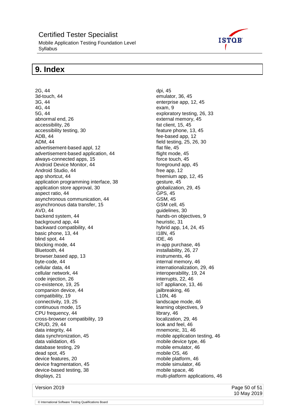Mobile Application Testing Foundation Level Syllabus

## <span id="page-49-0"></span>**9. Index**

2G, 44 3d-touch, 44 3G, 44 4G, 44 5G, 44 abnormal end, 26 accessibility, 26 accessibility testing, 30 ADB, 44 ADM, 44 advertisement-based appl, 12 advertisement-based application, 44 always-connected apps, 15 Android Device Monitor, 44 Android Studio, 44 app shortcut, 44 application programming interface, 38 application store approval, 30 aspect ratio, 44 asynchronous communication, 44 asynchronous data transfer, 15 AVD, 44 backend system, 44 background app, 44 backward compatibility, 44 basic phone, 13, 44 blind spot, 44 blocking mode, 44 Bluetooth, 44 browser.based app, 13 byte-code, 44 cellular data, 44 cellular network, 44 code injection, 26 co-existence, 19, 25 companion device, 44 compatibility, 19 connectivity, 19, 25 continuous mode, 15 CPU frequency, 44 cross-browser compatibility, 19 CRUD, 29, 44 data integrity, 44 data synchronization, 45 data validation, 45 database testing, 29 dead spot, 45 device features, 20 device fragmentation, 45 device-based testing, 38 displays, 21



dpi, 45 emulator, 36, 45 enterprise app, 12, 45 exam, 9 exploratory testing, 26, 33 external memory, 45 fat client, 15, 45 feature phone, 13, 45 fee-based app, 12 field testing, 25, 26, 30 flat file, 45 flight mode, 45 force touch, 45 foreground app, 45 free app, 12 freemium app, 12, 45 gesture, 45 globalization, 29, 45 GPS, 45 GSM, 45 GSM cell, 45 guidelines, 30 hands-on objectives, 9 heuristic, 31 hybrid app, 14, 24, 45 I18N, 45 IDE, 46 in-app purchase, 46 installability, 26, 27 instruments, 46 internal memory, 46 internationalization, 29, 46 interoperability, 19, 24 interrupts, 22, 46 IoT appliance, 13, 46 jailbreaking, 46 L10N, 46 landscape mode, 46 learning objectives, 9 library, 46 localization, 29, 46 look and feel, 46 mnemonic, 31, 46 mobile application testing, 46 mobile device type, 46 mobile emulator, 46 mobile OS, 46 mobile platform, 46 mobile simulator, 46 mobile space, 46

multi-platform applications, 46

Version 2019 Page 50 of 51 10 May 2019